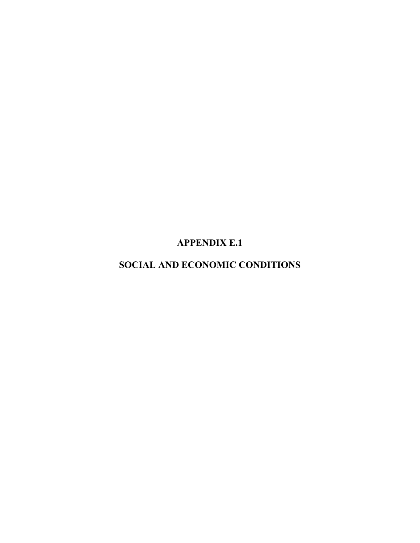**APPENDIX E.1** 

**SOCIAL AND ECONOMIC CONDITIONS**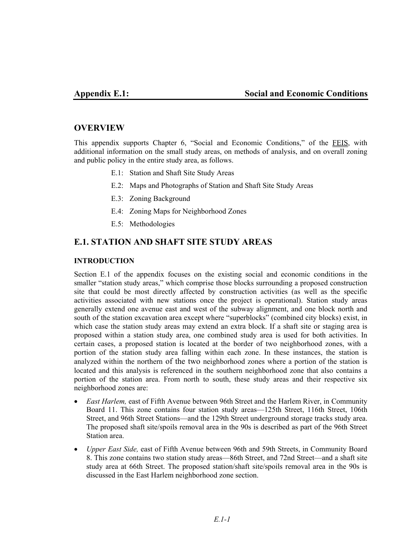# **OVERVIEW**

This appendix supports Chapter 6, "Social and Economic Conditions," of the FEIS, with additional information on the small study areas, on methods of analysis, and on overall zoning and public policy in the entire study area, as follows.

- E.1: Station and Shaft Site Study Areas
- E.2: Maps and Photographs of Station and Shaft Site Study Areas
- E.3: Zoning Background
- E.4: Zoning Maps for Neighborhood Zones
- E.5: Methodologies

# **E.1. STATION AND SHAFT SITE STUDY AREAS**

## **INTRODUCTION**

Section E.1 of the appendix focuses on the existing social and economic conditions in the smaller "station study areas," which comprise those blocks surrounding a proposed construction site that could be most directly affected by construction activities (as well as the specific activities associated with new stations once the project is operational). Station study areas generally extend one avenue east and west of the subway alignment, and one block north and south of the station excavation area except where "superblocks" (combined city blocks) exist, in which case the station study areas may extend an extra block. If a shaft site or staging area is proposed within a station study area, one combined study area is used for both activities. In certain cases, a proposed station is located at the border of two neighborhood zones, with a portion of the station study area falling within each zone. In these instances, the station is analyzed within the northern of the two neighborhood zones where a portion of the station is located and this analysis is referenced in the southern neighborhood zone that also contains a portion of the station area. From north to south, these study areas and their respective six neighborhood zones are:

- *East Harlem*, east of Fifth Avenue between 96th Street and the Harlem River, in Community Board 11. This zone contains four station study areas—125th Street, 116th Street, 106th Street, and 96th Street Stations—and the 129th Street underground storage tracks study area. The proposed shaft site/spoils removal area in the 90s is described as part of the 96th Street Station area.
- *Upper East Side,* east of Fifth Avenue between 96th and 59th Streets, in Community Board 8. This zone contains two station study areas—86th Street, and 72nd Street—and a shaft site study area at 66th Street. The proposed station/shaft site/spoils removal area in the 90s is discussed in the East Harlem neighborhood zone section.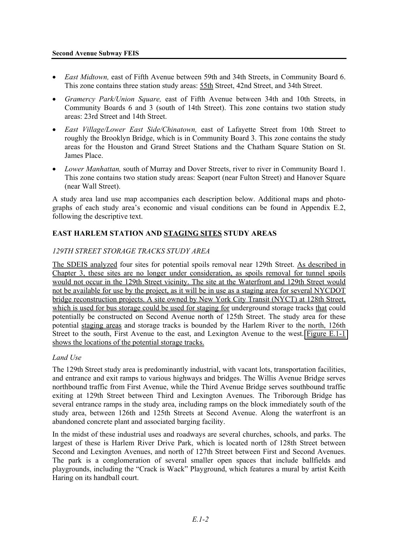#### **Second Avenue Subway FEIS**

- *East Midtown,* east of Fifth Avenue between 59th and 34th Streets, in Community Board 6. This zone contains three station study areas: 55th Street, 42nd Street, and 34th Street.
- *Gramercy Park/Union Square,* east of Fifth Avenue between 34th and 10th Streets, in Community Boards 6 and 3 (south of 14th Street). This zone contains two station study areas: 23rd Street and 14th Street.
- *East Village/Lower East Side/Chinatown,* east of Lafayette Street from 10th Street to roughly the Brooklyn Bridge, which is in Community Board 3. This zone contains the study areas for the Houston and Grand Street Stations and the Chatham Square Station on St. James Place.
- *Lower Manhattan,* south of Murray and Dover Streets, river to river in Community Board 1. This zone contains two station study areas: Seaport (near Fulton Street) and Hanover Square (near Wall Street).

A study area land use map accompanies each description below. Additional maps and photographs of each study area's economic and visual conditions can be found in Appendix E.2, following the descriptive text.

## **EAST HARLEM STATION AND STAGING SITES STUDY AREAS**

## *129TH STREET STORAGE TRACKS STUDY AREA*

The SDEIS analyzed four sites for potential spoils removal near 129th Street. As described in Chapter 3, these sites are no longer under consideration, as spoils removal for tunnel spoils would not occur in the 129th Street vicinity. The site at the Waterfront and 129th Street would not be available for use by the project, as it will be in use as a staging area for several NYCDOT bridge reconstruction projects. A site owned by New York City Transit (NYCT) at 128th Street, which is used for bus storage could be used for staging for underground storage tracks that could potentially be constructed on Second Avenue north of 125th Street. The study area for these potential staging areas and storage tracks is bounded by the Harlem River to the north, 126th Street to the south, First Avenue to the east, and Lexington Avenue to the west. Figure E.1-1 shows the locations of the potential storage tracks.

### *Land Use*

The 129th Street study area is predominantly industrial, with vacant lots, transportation facilities, and entrance and exit ramps to various highways and bridges. The Willis Avenue Bridge serves northbound traffic from First Avenue, while the Third Avenue Bridge serves southbound traffic exiting at 129th Street between Third and Lexington Avenues. The Triborough Bridge has several entrance ramps in the study area, including ramps on the block immediately south of the study area, between 126th and 125th Streets at Second Avenue. Along the waterfront is an abandoned concrete plant and associated barging facility.

In the midst of these industrial uses and roadways are several churches, schools, and parks. The largest of these is Harlem River Drive Park, which is located north of 128th Street between Second and Lexington Avenues, and north of 127th Street between First and Second Avenues. The park is a conglomeration of several smaller open spaces that include ballfields and playgrounds, including the "Crack is Wack" Playground, which features a mural by artist Keith Haring on its handball court.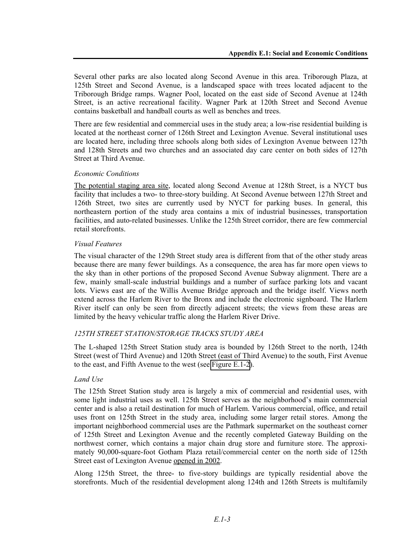Several other parks are also located along Second Avenue in this area. Triborough Plaza, at 125th Street and Second Avenue, is a landscaped space with trees located adjacent to the Triborough Bridge ramps. Wagner Pool, located on the east side of Second Avenue at 124th Street, is an active recreational facility. Wagner Park at 120th Street and Second Avenue contains basketball and handball courts as well as benches and trees.

There are few residential and commercial uses in the study area; a low-rise residential building is located at the northeast corner of 126th Street and Lexington Avenue. Several institutional uses are located here, including three schools along both sides of Lexington Avenue between 127th and 128th Streets and two churches and an associated day care center on both sides of 127th Street at Third Avenue.

## *Economic Conditions*

The potential staging area site, located along Second Avenue at 128th Street, is a NYCT bus facility that includes a two- to three-story building. At Second Avenue between 127th Street and 126th Street, two sites are currently used by NYCT for parking buses. In general, this northeastern portion of the study area contains a mix of industrial businesses, transportation facilities, and auto-related businesses. Unlike the 125th Street corridor, there are few commercial retail storefronts.

### *Visual Features*

The visual character of the 129th Street study area is different from that of the other study areas because there are many fewer buildings. As a consequence, the area has far more open views to the sky than in other portions of the proposed Second Avenue Subway alignment. There are a few, mainly small-scale industrial buildings and a number of surface parking lots and vacant lots. Views east are of the Willis Avenue Bridge approach and the bridge itself. Views north extend across the Harlem River to the Bronx and include the electronic signboard. The Harlem River itself can only be seen from directly adjacent streets; the views from these areas are limited by the heavy vehicular traffic along the Harlem River Drive.

## *125TH STREET STATION/STORAGE TRACKS STUDY AREA*

The L-shaped 125th Street Station study area is bounded by 126th Street to the north, 124th Street (west of Third Avenue) and 120th Street (east of Third Avenue) to the south, First Avenue to the east, and Fifth Avenue to the west (see Figure E.1-2).

### *Land Use*

The 125th Street Station study area is largely a mix of commercial and residential uses, with some light industrial uses as well. 125th Street serves as the neighborhood's main commercial center and is also a retail destination for much of Harlem. Various commercial, office, and retail uses front on 125th Street in the study area, including some larger retail stores. Among the important neighborhood commercial uses are the Pathmark supermarket on the southeast corner of 125th Street and Lexington Avenue and the recently completed Gateway Building on the northwest corner, which contains a major chain drug store and furniture store. The approximately 90,000-square-foot Gotham Plaza retail/commercial center on the north side of 125th Street east of Lexington Avenue opened in 2002.

Along 125th Street, the three- to five-story buildings are typically residential above the storefronts. Much of the residential development along 124th and 126th Streets is multifamily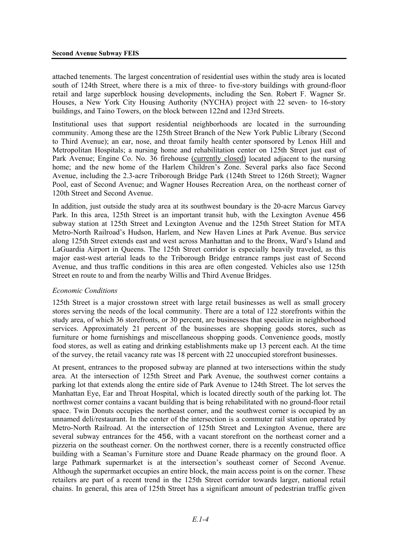attached tenements. The largest concentration of residential uses within the study area is located south of 124th Street, where there is a mix of three- to five-story buildings with ground-floor retail and large superblock housing developments, including the Sen. Robert F. Wagner Sr. Houses, a New York City Housing Authority (NYCHA) project with 22 seven- to 16-story buildings, and Taino Towers, on the block between 122nd and 123rd Streets.

Institutional uses that support residential neighborhoods are located in the surrounding community. Among these are the 125th Street Branch of the New York Public Library (Second to Third Avenue); an ear, nose, and throat family health center sponsored by Lenox Hill and Metropolitan Hospitals; a nursing home and rehabilitation center on 125th Street just east of Park Avenue; Engine Co. No. 36 firehouse (currently closed) located adjacent to the nursing home; and the new home of the Harlem Children's Zone. Several parks also face Second Avenue, including the 2.3-acre Triborough Bridge Park (124th Street to 126th Street); Wagner Pool, east of Second Avenue; and Wagner Houses Recreation Area, on the northeast corner of 120th Street and Second Avenue.

In addition, just outside the study area at its southwest boundary is the 20-acre Marcus Garvey Park. In this area, 125th Street is an important transit hub, with the Lexington Avenue 456 subway station at 125th Street and Lexington Avenue and the 125th Street Station for MTA Metro-North Railroad's Hudson, Harlem, and New Haven Lines at Park Avenue. Bus service along 125th Street extends east and west across Manhattan and to the Bronx, Ward's Island and LaGuardia Airport in Queens. The 125th Street corridor is especially heavily traveled, as this major east-west arterial leads to the Triborough Bridge entrance ramps just east of Second Avenue, and thus traffic conditions in this area are often congested. Vehicles also use 125th Street en route to and from the nearby Willis and Third Avenue Bridges.

### *Economic Conditions*

125th Street is a major crosstown street with large retail businesses as well as small grocery stores serving the needs of the local community. There are a total of 122 storefronts within the study area, of which 36 storefronts, or 30 percent, are businesses that specialize in neighborhood services. Approximately 21 percent of the businesses are shopping goods stores, such as furniture or home furnishings and miscellaneous shopping goods. Convenience goods, mostly food stores, as well as eating and drinking establishments make up 13 percent each. At the time of the survey, the retail vacancy rate was 18 percent with 22 unoccupied storefront businesses.

At present, entrances to the proposed subway are planned at two intersections within the study area. At the intersection of 125th Street and Park Avenue, the southwest corner contains a parking lot that extends along the entire side of Park Avenue to 124th Street. The lot serves the Manhattan Eye, Ear and Throat Hospital, which is located directly south of the parking lot. The northwest corner contains a vacant building that is being rehabilitated with no ground-floor retail space. Twin Donuts occupies the northeast corner, and the southwest corner is occupied by an unnamed deli/restaurant. In the center of the intersection is a commuter rail station operated by Metro-North Railroad. At the intersection of 125th Street and Lexington Avenue, there are several subway entrances for the 456, with a vacant storefront on the northeast corner and a pizzeria on the southeast corner. On the northwest corner, there is a recently constructed office building with a Seaman's Furniture store and Duane Reade pharmacy on the ground floor. A large Pathmark supermarket is at the intersection's southeast corner of Second Avenue. Although the supermarket occupies an entire block, the main access point is on the corner. These retailers are part of a recent trend in the 125th Street corridor towards larger, national retail chains. In general, this area of 125th Street has a significant amount of pedestrian traffic given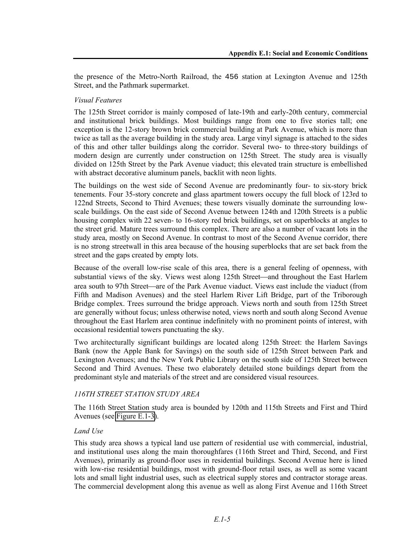the presence of the Metro-North Railroad, the 456 station at Lexington Avenue and 125th Street, and the Pathmark supermarket.

### *Visual Features*

The 125th Street corridor is mainly composed of late-19th and early-20th century, commercial and institutional brick buildings. Most buildings range from one to five stories tall; one exception is the 12-story brown brick commercial building at Park Avenue, which is more than twice as tall as the average building in the study area. Large vinyl signage is attached to the sides of this and other taller buildings along the corridor. Several two- to three-story buildings of modern design are currently under construction on 125th Street. The study area is visually divided on 125th Street by the Park Avenue viaduct; this elevated train structure is embellished with abstract decorative aluminum panels, backlit with neon lights.

The buildings on the west side of Second Avenue are predominantly four- to six-story brick tenements. Four 35-story concrete and glass apartment towers occupy the full block of 123rd to 122nd Streets, Second to Third Avenues; these towers visually dominate the surrounding lowscale buildings. On the east side of Second Avenue between 124th and 120th Streets is a public housing complex with 22 seven- to 16-story red brick buildings, set on superblocks at angles to the street grid. Mature trees surround this complex. There are also a number of vacant lots in the study area, mostly on Second Avenue. In contrast to most of the Second Avenue corridor, there is no strong streetwall in this area because of the housing superblocks that are set back from the street and the gaps created by empty lots.

Because of the overall low-rise scale of this area, there is a general feeling of openness, with substantial views of the sky. Views west along 125th Street—and throughout the East Harlem area south to 97th Street—are of the Park Avenue viaduct. Views east include the viaduct (from Fifth and Madison Avenues) and the steel Harlem River Lift Bridge, part of the Triborough Bridge complex. Trees surround the bridge approach. Views north and south from 125th Street are generally without focus; unless otherwise noted, views north and south along Second Avenue throughout the East Harlem area continue indefinitely with no prominent points of interest, with occasional residential towers punctuating the sky.

Two architecturally significant buildings are located along 125th Street: the Harlem Savings Bank (now the Apple Bank for Savings) on the south side of 125th Street between Park and Lexington Avenues; and the New York Public Library on the south side of 125th Street between Second and Third Avenues. These two elaborately detailed stone buildings depart from the predominant style and materials of the street and are considered visual resources.

## *116TH STREET STATION STUDY AREA*

The 116th Street Station study area is bounded by 120th and 115th Streets and First and Third Avenues (see Figure E.1-3).

### *Land Use*

This study area shows a typical land use pattern of residential use with commercial, industrial, and institutional uses along the main thoroughfares (116th Street and Third, Second, and First Avenues), primarily as ground-floor uses in residential buildings. Second Avenue here is lined with low-rise residential buildings, most with ground-floor retail uses, as well as some vacant lots and small light industrial uses, such as electrical supply stores and contractor storage areas. The commercial development along this avenue as well as along First Avenue and 116th Street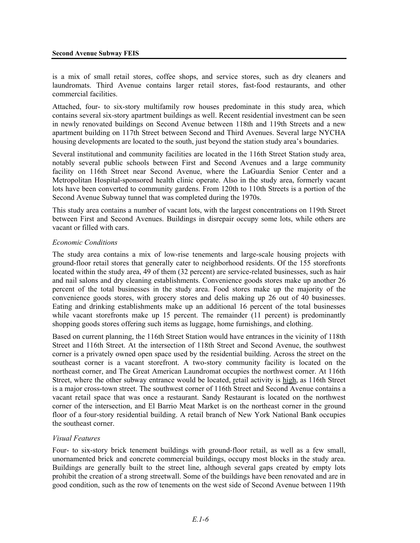is a mix of small retail stores, coffee shops, and service stores, such as dry cleaners and laundromats. Third Avenue contains larger retail stores, fast-food restaurants, and other commercial facilities.

Attached, four- to six-story multifamily row houses predominate in this study area, which contains several six-story apartment buildings as well. Recent residential investment can be seen in newly renovated buildings on Second Avenue between 118th and 119th Streets and a new apartment building on 117th Street between Second and Third Avenues. Several large NYCHA housing developments are located to the south, just beyond the station study area's boundaries.

Several institutional and community facilities are located in the 116th Street Station study area, notably several public schools between First and Second Avenues and a large community facility on 116th Street near Second Avenue, where the LaGuardia Senior Center and a Metropolitan Hospital-sponsored health clinic operate. Also in the study area, formerly vacant lots have been converted to community gardens. From 120th to 110th Streets is a portion of the Second Avenue Subway tunnel that was completed during the 1970s.

This study area contains a number of vacant lots, with the largest concentrations on 119th Street between First and Second Avenues. Buildings in disrepair occupy some lots, while others are vacant or filled with cars.

#### *Economic Conditions*

The study area contains a mix of low-rise tenements and large-scale housing projects with ground-floor retail stores that generally cater to neighborhood residents. Of the 155 storefronts located within the study area, 49 of them (32 percent) are service-related businesses, such as hair and nail salons and dry cleaning establishments. Convenience goods stores make up another 26 percent of the total businesses in the study area. Food stores make up the majority of the convenience goods stores, with grocery stores and delis making up 26 out of 40 businesses. Eating and drinking establishments make up an additional 16 percent of the total businesses while vacant storefronts make up 15 percent. The remainder (11 percent) is predominantly shopping goods stores offering such items as luggage, home furnishings, and clothing.

Based on current planning, the 116th Street Station would have entrances in the vicinity of 118th Street and 116th Street. At the intersection of 118th Street and Second Avenue, the southwest corner is a privately owned open space used by the residential building. Across the street on the southeast corner is a vacant storefront. A two-story community facility is located on the northeast corner, and The Great American Laundromat occupies the northwest corner. At 116th Street, where the other subway entrance would be located, retail activity is high, as 116th Street is a major cross-town street. The southwest corner of 116th Street and Second Avenue contains a vacant retail space that was once a restaurant. Sandy Restaurant is located on the northwest corner of the intersection, and El Barrio Meat Market is on the northeast corner in the ground floor of a four-story residential building. A retail branch of New York National Bank occupies the southeast corner.

#### *Visual Features*

Four- to six-story brick tenement buildings with ground-floor retail, as well as a few small, unornamented brick and concrete commercial buildings, occupy most blocks in the study area. Buildings are generally built to the street line, although several gaps created by empty lots prohibit the creation of a strong streetwall. Some of the buildings have been renovated and are in good condition, such as the row of tenements on the west side of Second Avenue between 119th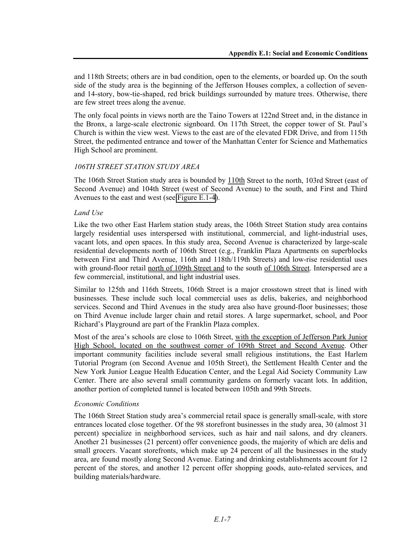and 118th Streets; others are in bad condition, open to the elements, or boarded up. On the south side of the study area is the beginning of the Jefferson Houses complex, a collection of sevenand 14-story, bow-tie-shaped, red brick buildings surrounded by mature trees. Otherwise, there are few street trees along the avenue.

The only focal points in views north are the Taino Towers at 122nd Street and, in the distance in the Bronx, a large-scale electronic signboard. On 117th Street, the copper tower of St. Paul's Church is within the view west. Views to the east are of the elevated FDR Drive, and from 115th Street, the pedimented entrance and tower of the Manhattan Center for Science and Mathematics High School are prominent.

## *106TH STREET STATION STUDY AREA*

The 106th Street Station study area is bounded by 110th Street to the north, 103rd Street (east of Second Avenue) and 104th Street (west of Second Avenue) to the south, and First and Third Avenues to the east and west (see Figure E.1-4).

### *Land Use*

Like the two other East Harlem station study areas, the 106th Street Station study area contains largely residential uses interspersed with institutional, commercial, and light-industrial uses, vacant lots, and open spaces. In this study area, Second Avenue is characterized by large-scale residential developments north of 106th Street (e.g., Franklin Plaza Apartments on superblocks between First and Third Avenue, 116th and 118th/119th Streets) and low-rise residential uses with ground-floor retail north of 109th Street and to the south of 106th Street. Interspersed are a few commercial, institutional, and light industrial uses.

Similar to 125th and 116th Streets, 106th Street is a major crosstown street that is lined with businesses. These include such local commercial uses as delis, bakeries, and neighborhood services. Second and Third Avenues in the study area also have ground-floor businesses; those on Third Avenue include larger chain and retail stores. A large supermarket, school, and Poor Richard's Playground are part of the Franklin Plaza complex.

Most of the area's schools are close to 106th Street, with the exception of Jefferson Park Junior High School, located on the southwest corner of 109th Street and Second Avenue. Other important community facilities include several small religious institutions, the East Harlem Tutorial Program (on Second Avenue and 105th Street), the Settlement Health Center and the New York Junior League Health Education Center, and the Legal Aid Society Community Law Center. There are also several small community gardens on formerly vacant lots. In addition, another portion of completed tunnel is located between 105th and 99th Streets.

### *Economic Conditions*

The 106th Street Station study area's commercial retail space is generally small-scale, with store entrances located close together. Of the 98 storefront businesses in the study area, 30 (almost 31 percent) specialize in neighborhood services, such as hair and nail salons, and dry cleaners. Another 21 businesses (21 percent) offer convenience goods, the majority of which are delis and small grocers. Vacant storefronts, which make up 24 percent of all the businesses in the study area, are found mostly along Second Avenue. Eating and drinking establishments account for 12 percent of the stores, and another 12 percent offer shopping goods, auto-related services, and building materials/hardware.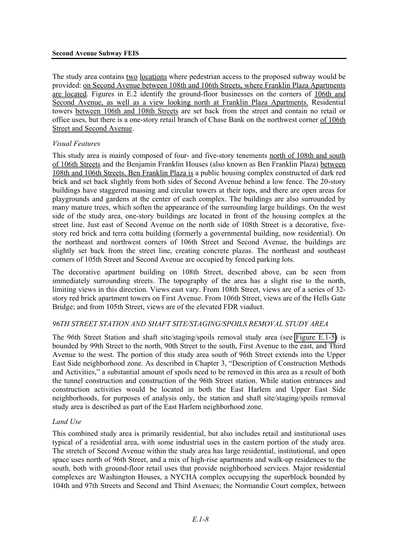The study area contains two locations where pedestrian access to the proposed subway would be provided: on Second Avenue between 108th and 106th Streets, where Franklin Plaza Apartments are located. Figures in E.2 identify the ground-floor businesses on the corners of 106th and Second Avenue, as well as a view looking north at Franklin Plaza Apartments. Residential towers between 106th and 108th Streets are set back from the street and contain no retail or office uses, but there is a one-story retail branch of Chase Bank on the northwest corner of 106th Street and Second Avenue.

## *Visual Features*

This study area is mainly composed of four- and five-story tenements north of 108th and south of 106th Streets and the Benjamin Franklin Houses (also known as Ben Franklin Plaza) between 108th and 106th Streets. Ben Franklin Plaza is a public housing complex constructed of dark red brick and set back slightly from both sides of Second Avenue behind a low fence. The 20-story buildings have staggered massing and circular towers at their tops, and there are open areas for playgrounds and gardens at the center of each complex. The buildings are also surrounded by many mature trees, which soften the appearance of the surrounding large buildings. On the west side of the study area, one-story buildings are located in front of the housing complex at the street line. Just east of Second Avenue on the north side of 108th Street is a decorative, fivestory red brick and terra cotta building (formerly a governmental building, now residential). On the northeast and northwest corners of 106th Street and Second Avenue, the buildings are slightly set back from the street line, creating concrete plazas. The northeast and southeast corners of 105th Street and Second Avenue are occupied by fenced parking lots.

The decorative apartment building on 108th Street, described above, can be seen from immediately surrounding streets. The topography of the area has a slight rise to the north, limiting views in this direction. Views east vary. From 108th Street, views are of a series of 32 story red brick apartment towers on First Avenue. From 106th Street, views are of the Hells Gate Bridge; and from 105th Street, views are of the elevated FDR viaduct.

## *96TH STREET STATION AND SHAFT SITE/STAGING/SPOILS REMOVAL STUDY AREA*

The 96th Street Station and shaft site/staging/spoils removal study area (see Figure E.1-5) is bounded by 99th Street to the north, 90th Street to the south, First Avenue to the east, and Third Avenue to the west. The portion of this study area south of 96th Street extends into the Upper East Side neighborhood zone. As described in Chapter 3, "Description of Construction Methods and Activities," a substantial amount of spoils need to be removed in this area as a result of both the tunnel construction and construction of the 96th Street station. While station entrances and construction activities would be located in both the East Harlem and Upper East Side neighborhoods, for purposes of analysis only, the station and shaft site/staging/spoils removal study area is described as part of the East Harlem neighborhood zone.

### *Land Use*

This combined study area is primarily residential, but also includes retail and institutional uses typical of a residential area, with some industrial uses in the eastern portion of the study area. The stretch of Second Avenue within the study area has large residential, institutional, and open space uses north of 96th Street, and a mix of high-rise apartments and walk-up residences to the south, both with ground-floor retail uses that provide neighborhood services. Major residential complexes are Washington Houses, a NYCHA complex occupying the superblock bounded by 104th and 97th Streets and Second and Third Avenues; the Normandie Court complex, between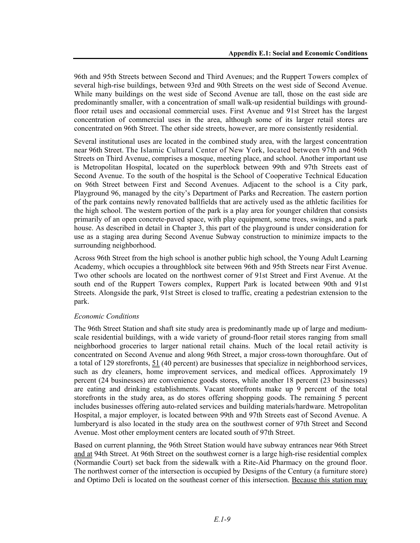96th and 95th Streets between Second and Third Avenues; and the Ruppert Towers complex of several high-rise buildings, between 93rd and 90th Streets on the west side of Second Avenue. While many buildings on the west side of Second Avenue are tall, those on the east side are predominantly smaller, with a concentration of small walk-up residential buildings with groundfloor retail uses and occasional commercial uses. First Avenue and 91st Street has the largest concentration of commercial uses in the area, although some of its larger retail stores are concentrated on 96th Street. The other side streets, however, are more consistently residential.

Several institutional uses are located in the combined study area, with the largest concentration near 96th Street. The Islamic Cultural Center of New York, located between 97th and 96th Streets on Third Avenue, comprises a mosque, meeting place, and school. Another important use is Metropolitan Hospital, located on the superblock between 99th and 97th Streets east of Second Avenue. To the south of the hospital is the School of Cooperative Technical Education on 96th Street between First and Second Avenues. Adjacent to the school is a City park, Playground 96, managed by the city's Department of Parks and Recreation. The eastern portion of the park contains newly renovated ballfields that are actively used as the athletic facilities for the high school. The western portion of the park is a play area for younger children that consists primarily of an open concrete-paved space, with play equipment, some trees, swings, and a park house. As described in detail in Chapter 3, this part of the playground is under consideration for use as a staging area during Second Avenue Subway construction to minimize impacts to the surrounding neighborhood.

Across 96th Street from the high school is another public high school, the Young Adult Learning Academy, which occupies a throughblock site between 96th and 95th Streets near First Avenue. Two other schools are located on the northwest corner of 91st Street and First Avenue. At the south end of the Ruppert Towers complex, Ruppert Park is located between 90th and 91st Streets. Alongside the park, 91st Street is closed to traffic, creating a pedestrian extension to the park.

### *Economic Conditions*

The 96th Street Station and shaft site study area is predominantly made up of large and mediumscale residential buildings, with a wide variety of ground-floor retail stores ranging from small neighborhood groceries to larger national retail chains. Much of the local retail activity is concentrated on Second Avenue and along 96th Street, a major cross-town thoroughfare. Out of a total of 129 storefronts, 51 (40 percent) are businesses that specialize in neighborhood services, such as dry cleaners, home improvement services, and medical offices. Approximately 19 percent (24 businesses) are convenience goods stores, while another 18 percent (23 businesses) are eating and drinking establishments. Vacant storefronts make up 9 percent of the total storefronts in the study area, as do stores offering shopping goods. The remaining 5 percent includes businesses offering auto-related services and building materials/hardware. Metropolitan Hospital, a major employer, is located between 99th and 97th Streets east of Second Avenue. A lumberyard is also located in the study area on the southwest corner of 97th Street and Second Avenue. Most other employment centers are located south of 97th Street.

Based on current planning, the 96th Street Station would have subway entrances near 96th Street and at 94th Street. At 96th Street on the southwest corner is a large high-rise residential complex (Normandie Court) set back from the sidewalk with a Rite-Aid Pharmacy on the ground floor. The northwest corner of the intersection is occupied by Designs of the Century (a furniture store) and Optimo Deli is located on the southeast corner of this intersection. Because this station may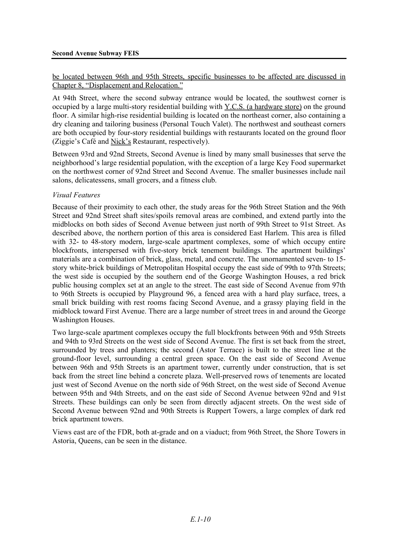### be located between 96th and 95th Streets, specific businesses to be affected are discussed in Chapter 8, "Displacement and Relocation."

At 94th Street, where the second subway entrance would be located, the southwest corner is occupied by a large multi-story residential building with Y.C.S. (a hardware store) on the ground floor. A similar high-rise residential building is located on the northeast corner, also containing a dry cleaning and tailoring business (Personal Touch Valet). The northwest and southeast corners are both occupied by four-story residential buildings with restaurants located on the ground floor (Ziggie's Café and Nick's Restaurant, respectively).

Between 93rd and 92nd Streets, Second Avenue is lined by many small businesses that serve the neighborhood's large residential population, with the exception of a large Key Food supermarket on the northwest corner of 92nd Street and Second Avenue. The smaller businesses include nail salons, delicatessens, small grocers, and a fitness club.

### *Visual Features*

Because of their proximity to each other, the study areas for the 96th Street Station and the 96th Street and 92nd Street shaft sites/spoils removal areas are combined, and extend partly into the midblocks on both sides of Second Avenue between just north of 99th Street to 91st Street. As described above, the northern portion of this area is considered East Harlem. This area is filled with 32- to 48-story modern, large-scale apartment complexes, some of which occupy entire blockfronts, interspersed with five-story brick tenement buildings. The apartment buildings' materials are a combination of brick, glass, metal, and concrete. The unornamented seven- to 15 story white-brick buildings of Metropolitan Hospital occupy the east side of 99th to 97th Streets; the west side is occupied by the southern end of the George Washington Houses, a red brick public housing complex set at an angle to the street. The east side of Second Avenue from 97th to 96th Streets is occupied by Playground 96, a fenced area with a hard play surface, trees, a small brick building with rest rooms facing Second Avenue, and a grassy playing field in the midblock toward First Avenue. There are a large number of street trees in and around the George Washington Houses.

Two large-scale apartment complexes occupy the full blockfronts between 96th and 95th Streets and 94th to 93rd Streets on the west side of Second Avenue. The first is set back from the street, surrounded by trees and planters; the second (Astor Terrace) is built to the street line at the ground-floor level, surrounding a central green space. On the east side of Second Avenue between 96th and 95th Streets is an apartment tower, currently under construction, that is set back from the street line behind a concrete plaza. Well-preserved rows of tenements are located just west of Second Avenue on the north side of 96th Street, on the west side of Second Avenue between 95th and 94th Streets, and on the east side of Second Avenue between 92nd and 91st Streets. These buildings can only be seen from directly adjacent streets. On the west side of Second Avenue between 92nd and 90th Streets is Ruppert Towers, a large complex of dark red brick apartment towers.

Views east are of the FDR, both at-grade and on a viaduct; from 96th Street, the Shore Towers in Astoria, Queens, can be seen in the distance.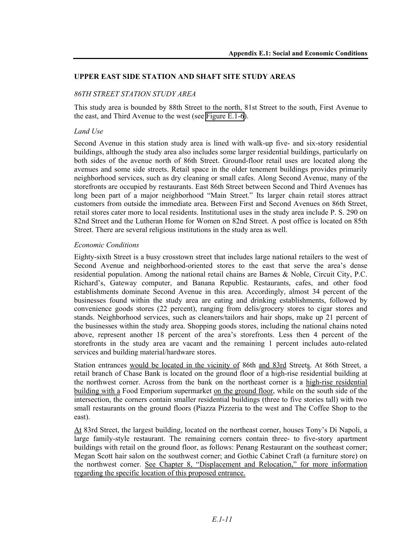### **UPPER EAST SIDE STATION AND SHAFT SITE STUDY AREAS**

## *86TH STREET STATION STUDY AREA*

This study area is bounded by 88th Street to the north, 81st Street to the south, First Avenue to the east, and Third Avenue to the west (see Figure E.1-6).

### *Land Use*

Second Avenue in this station study area is lined with walk-up five- and six-story residential buildings, although the study area also includes some larger residential buildings, particularly on both sides of the avenue north of 86th Street. Ground-floor retail uses are located along the avenues and some side streets. Retail space in the older tenement buildings provides primarily neighborhood services, such as dry cleaning or small cafes. Along Second Avenue, many of the storefronts are occupied by restaurants. East 86th Street between Second and Third Avenues has long been part of a major neighborhood "Main Street." Its larger chain retail stores attract customers from outside the immediate area. Between First and Second Avenues on 86th Street, retail stores cater more to local residents. Institutional uses in the study area include P. S. 290 on 82nd Street and the Lutheran Home for Women on 82nd Street. A post office is located on 85th Street. There are several religious institutions in the study area as well.

### *Economic Conditions*

Eighty-sixth Street is a busy crosstown street that includes large national retailers to the west of Second Avenue and neighborhood-oriented stores to the east that serve the area's dense residential population. Among the national retail chains are Barnes & Noble, Circuit City, P.C. Richard's, Gateway computer, and Banana Republic. Restaurants, cafes, and other food establishments dominate Second Avenue in this area. Accordingly, almost 34 percent of the businesses found within the study area are eating and drinking establishments, followed by convenience goods stores (22 percent), ranging from delis/grocery stores to cigar stores and stands. Neighborhood services, such as cleaners/tailors and hair shops, make up 21 percent of the businesses within the study area. Shopping goods stores, including the national chains noted above, represent another 18 percent of the area's storefronts. Less then 4 percent of the storefronts in the study area are vacant and the remaining 1 percent includes auto-related services and building material/hardware stores.

Station entrances would be located in the vicinity of 86th and 83rd Streets. At 86th Street, a retail branch of Chase Bank is located on the ground floor of a high-rise residential building at the northwest corner. Across from the bank on the northeast corner is a high-rise residential building with a Food Emporium supermarket on the ground floor, while on the south side of the intersection, the corners contain smaller residential buildings (three to five stories tall) with two small restaurants on the ground floors (Piazza Pizzeria to the west and The Coffee Shop to the east).

At 83rd Street, the largest building, located on the northeast corner, houses Tony's Di Napoli, a large family-style restaurant. The remaining corners contain three- to five-story apartment buildings with retail on the ground floor, as follows: Penang Restaurant on the southeast corner; Megan Scott hair salon on the southwest corner; and Gothic Cabinet Craft (a furniture store) on the northwest corner. See Chapter 8, "Displacement and Relocation," for more information regarding the specific location of this proposed entrance.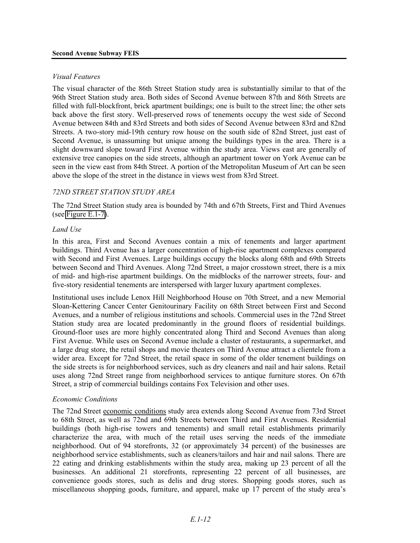#### *Visual Features*

The visual character of the 86th Street Station study area is substantially similar to that of the 96th Street Station study area. Both sides of Second Avenue between 87th and 86th Streets are filled with full-blockfront, brick apartment buildings; one is built to the street line; the other sets back above the first story. Well-preserved rows of tenements occupy the west side of Second Avenue between 84th and 83rd Streets and both sides of Second Avenue between 83rd and 82nd Streets. A two-story mid-19th century row house on the south side of 82nd Street, just east of Second Avenue, is unassuming but unique among the buildings types in the area. There is a slight downward slope toward First Avenue within the study area. Views east are generally of extensive tree canopies on the side streets, although an apartment tower on York Avenue can be seen in the view east from 84th Street. A portion of the Metropolitan Museum of Art can be seen above the slope of the street in the distance in views west from 83rd Street.

### *72ND STREET STATION STUDY AREA*

The 72nd Street Station study area is bounded by 74th and 67th Streets, First and Third Avenues (see Figure E.1-7).

#### *Land Use*

In this area, First and Second Avenues contain a mix of tenements and larger apartment buildings. Third Avenue has a larger concentration of high-rise apartment complexes compared with Second and First Avenues. Large buildings occupy the blocks along 68th and 69th Streets between Second and Third Avenues. Along 72nd Street, a major crosstown street, there is a mix of mid- and high-rise apartment buildings. On the midblocks of the narrower streets, four- and five-story residential tenements are interspersed with larger luxury apartment complexes.

Institutional uses include Lenox Hill Neighborhood House on 70th Street, and a new Memorial Sloan-Kettering Cancer Center Genitourinary Facility on 68th Street between First and Second Avenues, and a number of religious institutions and schools. Commercial uses in the 72nd Street Station study area are located predominantly in the ground floors of residential buildings. Ground-floor uses are more highly concentrated along Third and Second Avenues than along First Avenue. While uses on Second Avenue include a cluster of restaurants, a supermarket, and a large drug store, the retail shops and movie theaters on Third Avenue attract a clientele from a wider area. Except for 72nd Street, the retail space in some of the older tenement buildings on the side streets is for neighborhood services, such as dry cleaners and nail and hair salons. Retail uses along 72nd Street range from neighborhood services to antique furniture stores. On 67th Street, a strip of commercial buildings contains Fox Television and other uses.

### *Economic Conditions*

The 72nd Street economic conditions study area extends along Second Avenue from 73rd Street to 68th Street, as well as 72nd and 69th Streets between Third and First Avenues. Residential buildings (both high-rise towers and tenements) and small retail establishments primarily characterize the area, with much of the retail uses serving the needs of the immediate neighborhood. Out of 94 storefronts, 32 (or approximately 34 percent) of the businesses are neighborhood service establishments, such as cleaners/tailors and hair and nail salons. There are 22 eating and drinking establishments within the study area, making up 23 percent of all the businesses. An additional 21 storefronts, representing 22 percent of all businesses, are convenience goods stores, such as delis and drug stores. Shopping goods stores, such as miscellaneous shopping goods, furniture, and apparel, make up 17 percent of the study area's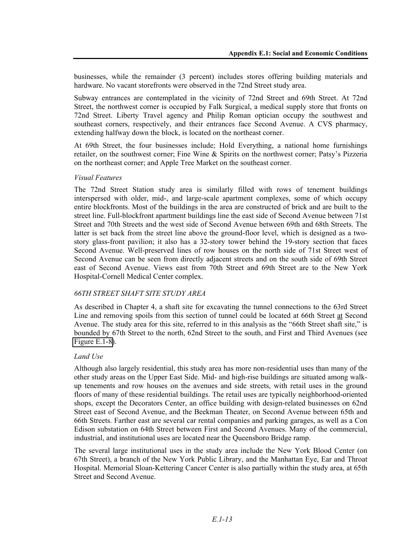businesses, while the remainder (3 percent) includes stores offering building materials and hardware. No vacant storefronts were observed in the 72nd Street study area.

Subway entrances are contemplated in the vicinity of 72nd Street and 69th Street. At 72nd Street, the northwest corner is occupied by Falk Surgical, a medical supply store that fronts on 72nd Street. Liberty Travel agency and Philip Roman optician occupy the southwest and southeast corners, respectively, and their entrances face Second Avenue. A CVS pharmacy, extending halfway down the block, is located on the northeast corner.

At 69th Street, the four businesses include; Hold Everything, a national home furnishings retailer, on the southwest corner; Fine Wine & Spirits on the northwest corner; Patsy's Pizzeria on the northeast corner; and Apple Tree Market on the southeast corner.

### *Visual Features*

The 72nd Street Station study area is similarly filled with rows of tenement buildings interspersed with older, mid-, and large-scale apartment complexes, some of which occupy entire blockfronts. Most of the buildings in the area are constructed of brick and are built to the street line. Full-blockfront apartment buildings line the east side of Second Avenue between 71st Street and 70th Streets and the west side of Second Avenue between 69th and 68th Streets. The latter is set back from the street line above the ground-floor level, which is designed as a twostory glass-front pavilion; it also has a 32-story tower behind the 19-story section that faces Second Avenue. Well-preserved lines of row houses on the north side of 71st Street west of Second Avenue can be seen from directly adjacent streets and on the south side of 69th Street east of Second Avenue. Views east from 70th Street and 69th Street are to the New York Hospital-Cornell Medical Center complex.

### *66TH STREET SHAFT SITE STUDY AREA*

As described in Chapter 4, a shaft site for excavating the tunnel connections to the 63rd Street Line and removing spoils from this section of tunnel could be located at 66th Street at Second Avenue. The study area for this site, referred to in this analysis as the "66th Street shaft site," is bounded by 67th Street to the north, 62nd Street to the south, and First and Third Avenues (see Figure E.1-8).

### *Land Use*

Although also largely residential, this study area has more non-residential uses than many of the other study areas on the Upper East Side. Mid- and high-rise buildings are situated among walkup tenements and row houses on the avenues and side streets, with retail uses in the ground floors of many of these residential buildings. The retail uses are typically neighborhood-oriented shops, except the Decorators Center, an office building with design-related businesses on 62nd Street east of Second Avenue, and the Beekman Theater, on Second Avenue between 65th and 66th Streets. Farther east are several car rental companies and parking garages, as well as a Con Edison substation on 64th Street between First and Second Avenues. Many of the commercial, industrial, and institutional uses are located near the Queensboro Bridge ramp.

The several large institutional uses in the study area include the New York Blood Center (on 67th Street), a branch of the New York Public Library, and the Manhattan Eye, Ear and Throat Hospital. Memorial Sloan-Kettering Cancer Center is also partially within the study area, at 65th Street and Second Avenue.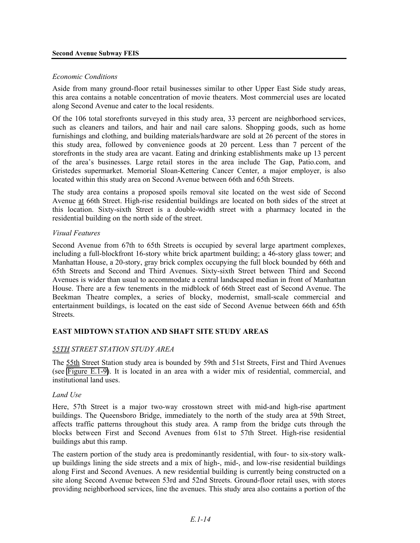#### **Second Avenue Subway FEIS**

#### *Economic Conditions*

Aside from many ground-floor retail businesses similar to other Upper East Side study areas, this area contains a notable concentration of movie theaters. Most commercial uses are located along Second Avenue and cater to the local residents.

Of the 106 total storefronts surveyed in this study area, 33 percent are neighborhood services, such as cleaners and tailors, and hair and nail care salons. Shopping goods, such as home furnishings and clothing, and building materials/hardware are sold at 26 percent of the stores in this study area, followed by convenience goods at 20 percent. Less than 7 percent of the storefronts in the study area are vacant. Eating and drinking establishments make up 13 percent of the area's businesses. Large retail stores in the area include The Gap, Patio.com, and Gristedes supermarket. Memorial Sloan-Kettering Cancer Center, a major employer, is also located within this study area on Second Avenue between 66th and 65th Streets.

The study area contains a proposed spoils removal site located on the west side of Second Avenue at 66th Street. High-rise residential buildings are located on both sides of the street at this location. Sixty-sixth Street is a double-width street with a pharmacy located in the residential building on the north side of the street.

#### *Visual Features*

Second Avenue from 67th to 65th Streets is occupied by several large apartment complexes, including a full-blockfront 16-story white brick apartment building; a 46-story glass tower; and Manhattan House, a 20-story, gray brick complex occupying the full block bounded by 66th and 65th Streets and Second and Third Avenues. Sixty-sixth Street between Third and Second Avenues is wider than usual to accommodate a central landscaped median in front of Manhattan House. There are a few tenements in the midblock of 66th Street east of Second Avenue. The Beekman Theatre complex, a series of blocky, modernist, small-scale commercial and entertainment buildings, is located on the east side of Second Avenue between 66th and 65th Streets.

### **EAST MIDTOWN STATION AND SHAFT SITE STUDY AREAS**

### *55TH STREET STATION STUDY AREA*

The 55th Street Station study area is bounded by 59th and 51st Streets, First and Third Avenues (see Figure E.1-9). It is located in an area with a wider mix of residential, commercial, and institutional land uses.

### *Land Use*

Here, 57th Street is a major two-way crosstown street with mid-and high-rise apartment buildings. The Queensboro Bridge, immediately to the north of the study area at 59th Street, affects traffic patterns throughout this study area. A ramp from the bridge cuts through the blocks between First and Second Avenues from 61st to 57th Street. High-rise residential buildings abut this ramp.

The eastern portion of the study area is predominantly residential, with four- to six-story walkup buildings lining the side streets and a mix of high-, mid-, and low-rise residential buildings along First and Second Avenues. A new residential building is currently being constructed on a site along Second Avenue between 53rd and 52nd Streets. Ground-floor retail uses, with stores providing neighborhood services, line the avenues. This study area also contains a portion of the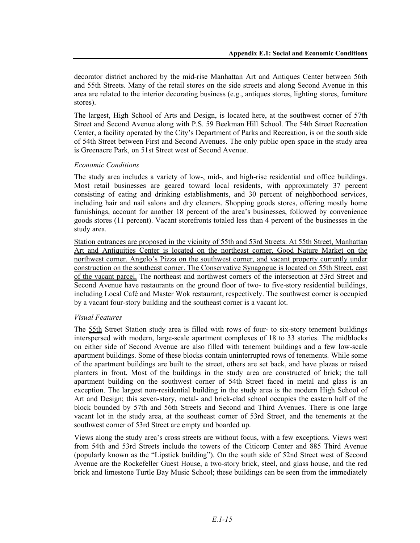decorator district anchored by the mid-rise Manhattan Art and Antiques Center between 56th and 55th Streets. Many of the retail stores on the side streets and along Second Avenue in this area are related to the interior decorating business (e.g., antiques stores, lighting stores, furniture stores).

The largest, High School of Arts and Design, is located here, at the southwest corner of 57th Street and Second Avenue along with P.S. 59 Beekman Hill School. The 54th Street Recreation Center, a facility operated by the City's Department of Parks and Recreation, is on the south side of 54th Street between First and Second Avenues. The only public open space in the study area is Greenacre Park, on 51st Street west of Second Avenue.

### *Economic Conditions*

The study area includes a variety of low-, mid-, and high-rise residential and office buildings. Most retail businesses are geared toward local residents, with approximately 37 percent consisting of eating and drinking establishments, and 30 percent of neighborhood services, including hair and nail salons and dry cleaners. Shopping goods stores, offering mostly home furnishings, account for another 18 percent of the area's businesses, followed by convenience goods stores (11 percent). Vacant storefronts totaled less than 4 percent of the businesses in the study area.

Station entrances are proposed in the vicinity of 55th and 53rd Streets. At 55th Street, Manhattan Art and Antiquities Center is located on the northeast corner, Good Nature Market on the northwest corner, Angelo's Pizza on the southwest corner, and vacant property currently under construction on the southeast corner. The Conservative Synagogue is located on 55th Street, east of the vacant parcel. The northeast and northwest corners of the intersection at 53rd Street and Second Avenue have restaurants on the ground floor of two- to five-story residential buildings, including Local Café and Master Wok restaurant, respectively. The southwest corner is occupied by a vacant four-story building and the southeast corner is a vacant lot.

## *Visual Features*

The 55th Street Station study area is filled with rows of four- to six-story tenement buildings interspersed with modern, large-scale apartment complexes of 18 to 33 stories. The midblocks on either side of Second Avenue are also filled with tenement buildings and a few low-scale apartment buildings. Some of these blocks contain uninterrupted rows of tenements. While some of the apartment buildings are built to the street, others are set back, and have plazas or raised planters in front. Most of the buildings in the study area are constructed of brick; the tall apartment building on the southwest corner of 54th Street faced in metal and glass is an exception. The largest non-residential building in the study area is the modern High School of Art and Design; this seven-story, metal- and brick-clad school occupies the eastern half of the block bounded by 57th and 56th Streets and Second and Third Avenues. There is one large vacant lot in the study area, at the southeast corner of 53rd Street, and the tenements at the southwest corner of 53rd Street are empty and boarded up.

Views along the study area's cross streets are without focus, with a few exceptions. Views west from 54th and 53rd Streets include the towers of the Citicorp Center and 885 Third Avenue (popularly known as the "Lipstick building"). On the south side of 52nd Street west of Second Avenue are the Rockefeller Guest House, a two-story brick, steel, and glass house, and the red brick and limestone Turtle Bay Music School; these buildings can be seen from the immediately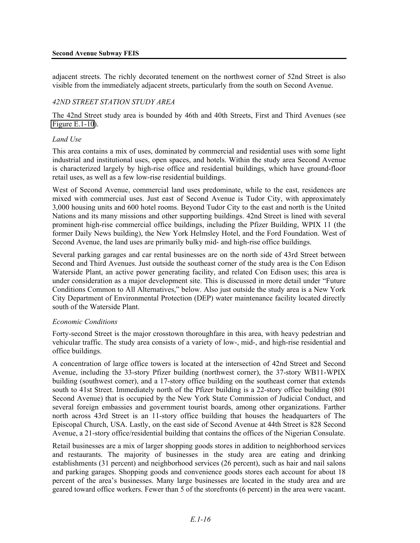adjacent streets. The richly decorated tenement on the northwest corner of 52nd Street is also visible from the immediately adjacent streets, particularly from the south on Second Avenue.

#### *42ND STREET STATION STUDY AREA*

The 42nd Street study area is bounded by 46th and 40th Streets, First and Third Avenues (see Figure E.1-10).

#### *Land Use*

This area contains a mix of uses, dominated by commercial and residential uses with some light industrial and institutional uses, open spaces, and hotels. Within the study area Second Avenue is characterized largely by high-rise office and residential buildings, which have ground-floor retail uses, as well as a few low-rise residential buildings.

West of Second Avenue, commercial land uses predominate, while to the east, residences are mixed with commercial uses. Just east of Second Avenue is Tudor City, with approximately 3,000 housing units and 600 hotel rooms. Beyond Tudor City to the east and north is the United Nations and its many missions and other supporting buildings. 42nd Street is lined with several prominent high-rise commercial office buildings, including the Pfizer Building, WPIX 11 (the former Daily News building), the New York Helmsley Hotel, and the Ford Foundation. West of Second Avenue, the land uses are primarily bulky mid- and high-rise office buildings.

Several parking garages and car rental businesses are on the north side of 43rd Street between Second and Third Avenues. Just outside the southeast corner of the study area is the Con Edison Waterside Plant, an active power generating facility, and related Con Edison uses; this area is under consideration as a major development site. This is discussed in more detail under "Future Conditions Common to All Alternatives," below. Also just outside the study area is a New York City Department of Environmental Protection (DEP) water maintenance facility located directly south of the Waterside Plant.

#### *Economic Conditions*

Forty-second Street is the major crosstown thoroughfare in this area, with heavy pedestrian and vehicular traffic. The study area consists of a variety of low-, mid-, and high-rise residential and office buildings.

A concentration of large office towers is located at the intersection of 42nd Street and Second Avenue, including the 33-story Pfizer building (northwest corner), the 37-story WB11-WPIX building (southwest corner), and a 17-story office building on the southeast corner that extends south to 41st Street. Immediately north of the Pfizer building is a 22-story office building (801 Second Avenue) that is occupied by the New York State Commission of Judicial Conduct, and several foreign embassies and government tourist boards, among other organizations. Farther north across 43rd Street is an 11-story office building that houses the headquarters of The Episcopal Church, USA. Lastly, on the east side of Second Avenue at 44th Street is 828 Second Avenue, a 21-story office/residential building that contains the offices of the Nigerian Consulate.

Retail businesses are a mix of larger shopping goods stores in addition to neighborhood services and restaurants. The majority of businesses in the study area are eating and drinking establishments (31 percent) and neighborhood services (26 percent), such as hair and nail salons and parking garages. Shopping goods and convenience goods stores each account for about 18 percent of the area's businesses. Many large businesses are located in the study area and are geared toward office workers. Fewer than 5 of the storefronts (6 percent) in the area were vacant.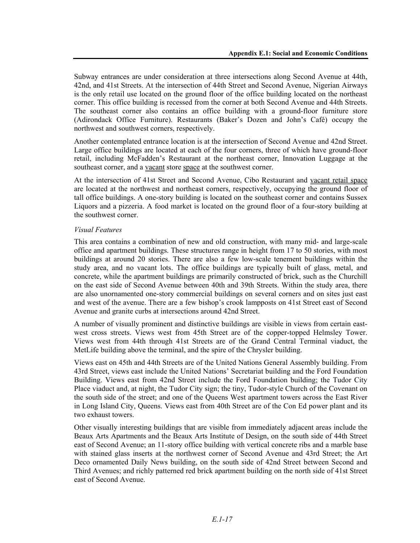Subway entrances are under consideration at three intersections along Second Avenue at 44th, 42nd, and 41st Streets. At the intersection of 44th Street and Second Avenue, Nigerian Airways is the only retail use located on the ground floor of the office building located on the northeast corner. This office building is recessed from the corner at both Second Avenue and 44th Streets. The southeast corner also contains an office building with a ground-floor furniture store (Adirondack Office Furniture). Restaurants (Baker's Dozen and John's Café) occupy the northwest and southwest corners, respectively.

Another contemplated entrance location is at the intersection of Second Avenue and 42nd Street. Large office buildings are located at each of the four corners, three of which have ground-floor retail, including McFadden's Restaurant at the northeast corner, Innovation Luggage at the southeast corner, and a vacant store space at the southwest corner.

At the intersection of 41st Street and Second Avenue, Cibo Restaurant and vacant retail space are located at the northwest and northeast corners, respectively, occupying the ground floor of tall office buildings. A one-story building is located on the southeast corner and contains Sussex Liquors and a pizzeria. A food market is located on the ground floor of a four-story building at the southwest corner.

### *Visual Features*

This area contains a combination of new and old construction, with many mid- and large-scale office and apartment buildings. These structures range in height from 17 to 50 stories, with most buildings at around 20 stories. There are also a few low-scale tenement buildings within the study area, and no vacant lots. The office buildings are typically built of glass, metal, and concrete, while the apartment buildings are primarily constructed of brick, such as the Churchill on the east side of Second Avenue between 40th and 39th Streets. Within the study area, there are also unornamented one-story commercial buildings on several corners and on sites just east and west of the avenue. There are a few bishop's crook lampposts on 41st Street east of Second Avenue and granite curbs at intersections around 42nd Street.

A number of visually prominent and distinctive buildings are visible in views from certain eastwest cross streets. Views west from 45th Street are of the copper-topped Helmsley Tower. Views west from 44th through 41st Streets are of the Grand Central Terminal viaduct, the MetLife building above the terminal, and the spire of the Chrysler building.

Views east on 45th and 44th Streets are of the United Nations General Assembly building. From 43rd Street, views east include the United Nations' Secretariat building and the Ford Foundation Building. Views east from 42nd Street include the Ford Foundation building; the Tudor City Place viaduct and, at night, the Tudor City sign; the tiny, Tudor-style Church of the Covenant on the south side of the street; and one of the Queens West apartment towers across the East River in Long Island City, Queens. Views east from 40th Street are of the Con Ed power plant and its two exhaust towers.

Other visually interesting buildings that are visible from immediately adjacent areas include the Beaux Arts Apartments and the Beaux Arts Institute of Design, on the south side of 44th Street east of Second Avenue; an 11-story office building with vertical concrete ribs and a marble base with stained glass inserts at the northwest corner of Second Avenue and 43rd Street; the Art Deco ornamented Daily News building, on the south side of 42nd Street between Second and Third Avenues; and richly patterned red brick apartment building on the north side of 41st Street east of Second Avenue.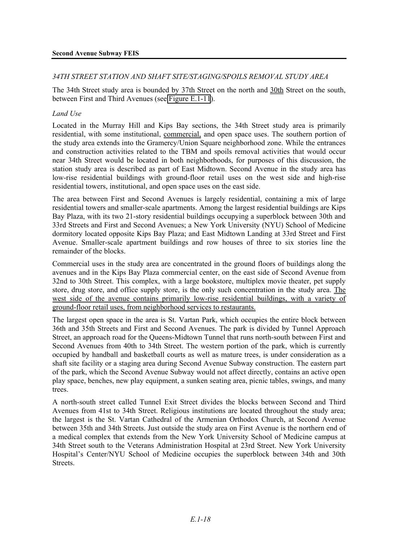#### *34TH STREET STATION AND SHAFT SITE/STAGING/SPOILS REMOVAL STUDY AREA*

The 34th Street study area is bounded by 37th Street on the north and 30th Street on the south, between First and Third Avenues (see Figure E.1-11).

#### *Land Use*

Located in the Murray Hill and Kips Bay sections, the 34th Street study area is primarily residential, with some institutional, commercial, and open space uses. The southern portion of the study area extends into the Gramercy/Union Square neighborhood zone. While the entrances and construction activities related to the TBM and spoils removal activities that would occur near 34th Street would be located in both neighborhoods, for purposes of this discussion, the station study area is described as part of East Midtown. Second Avenue in the study area has low-rise residential buildings with ground-floor retail uses on the west side and high-rise residential towers, institutional, and open space uses on the east side.

The area between First and Second Avenues is largely residential, containing a mix of large residential towers and smaller-scale apartments. Among the largest residential buildings are Kips Bay Plaza, with its two 21-story residential buildings occupying a superblock between 30th and 33rd Streets and First and Second Avenues; a New York University (NYU) School of Medicine dormitory located opposite Kips Bay Plaza; and East Midtown Landing at 33rd Street and First Avenue. Smaller-scale apartment buildings and row houses of three to six stories line the remainder of the blocks.

Commercial uses in the study area are concentrated in the ground floors of buildings along the avenues and in the Kips Bay Plaza commercial center, on the east side of Second Avenue from 32nd to 30th Street. This complex, with a large bookstore, multiplex movie theater, pet supply store, drug store, and office supply store, is the only such concentration in the study area. The west side of the avenue contains primarily low-rise residential buildings, with a variety of ground-floor retail uses, from neighborhood services to restaurants.

The largest open space in the area is St. Vartan Park, which occupies the entire block between 36th and 35th Streets and First and Second Avenues. The park is divided by Tunnel Approach Street, an approach road for the Queens-Midtown Tunnel that runs north-south between First and Second Avenues from 40th to 34th Street. The western portion of the park, which is currently occupied by handball and basketball courts as well as mature trees, is under consideration as a shaft site facility or a staging area during Second Avenue Subway construction. The eastern part of the park, which the Second Avenue Subway would not affect directly, contains an active open play space, benches, new play equipment, a sunken seating area, picnic tables, swings, and many trees.

A north-south street called Tunnel Exit Street divides the blocks between Second and Third Avenues from 41st to 34th Street. Religious institutions are located throughout the study area; the largest is the St. Vartan Cathedral of the Armenian Orthodox Church, at Second Avenue between 35th and 34th Streets. Just outside the study area on First Avenue is the northern end of a medical complex that extends from the New York University School of Medicine campus at 34th Street south to the Veterans Administration Hospital at 23rd Street. New York University Hospital's Center/NYU School of Medicine occupies the superblock between 34th and 30th Streets.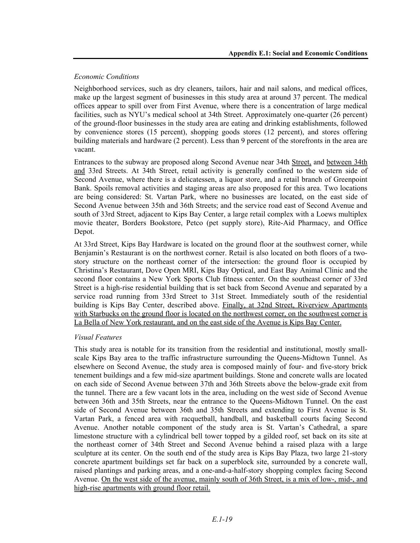## *Economic Conditions*

Neighborhood services, such as dry cleaners, tailors, hair and nail salons, and medical offices, make up the largest segment of businesses in this study area at around 37 percent. The medical offices appear to spill over from First Avenue, where there is a concentration of large medical facilities, such as NYU's medical school at 34th Street. Approximately one-quarter (26 percent) of the ground-floor businesses in the study area are eating and drinking establishments, followed by convenience stores (15 percent), shopping goods stores (12 percent), and stores offering building materials and hardware (2 percent). Less than 9 percent of the storefronts in the area are vacant.

Entrances to the subway are proposed along Second Avenue near 34th Street, and between 34th and 33rd Streets. At 34th Street, retail activity is generally confined to the western side of Second Avenue, where there is a delicatessen, a liquor store, and a retail branch of Greenpoint Bank. Spoils removal activities and staging areas are also proposed for this area. Two locations are being considered: St. Vartan Park, where no businesses are located, on the east side of Second Avenue between 35th and 36th Streets; and the service road east of Second Avenue and south of 33rd Street, adjacent to Kips Bay Center, a large retail complex with a Loews multiplex movie theater, Borders Bookstore, Petco (pet supply store), Rite-Aid Pharmacy, and Office Depot.

At 33rd Street, Kips Bay Hardware is located on the ground floor at the southwest corner, while Benjamin's Restaurant is on the northwest corner. Retail is also located on both floors of a twostory structure on the northeast corner of the intersection: the ground floor is occupied by Christina's Restaurant, Dove Open MRI, Kips Bay Optical, and East Bay Animal Clinic and the second floor contains a New York Sports Club fitness center. On the southeast corner of 33rd Street is a high-rise residential building that is set back from Second Avenue and separated by a service road running from 33rd Street to 31st Street. Immediately south of the residential building is Kips Bay Center, described above. Finally, at 32nd Street, Riverview Apartments with Starbucks on the ground floor is located on the northwest corner, on the southwest corner is La Bella of New York restaurant, and on the east side of the Avenue is Kips Bay Center.

## *Visual Features*

This study area is notable for its transition from the residential and institutional, mostly smallscale Kips Bay area to the traffic infrastructure surrounding the Queens-Midtown Tunnel. As elsewhere on Second Avenue, the study area is composed mainly of four- and five-story brick tenement buildings and a few mid-size apartment buildings. Stone and concrete walls are located on each side of Second Avenue between 37th and 36th Streets above the below-grade exit from the tunnel. There are a few vacant lots in the area, including on the west side of Second Avenue between 36th and 35th Streets, near the entrance to the Queens-Midtown Tunnel. On the east side of Second Avenue between 36th and 35th Streets and extending to First Avenue is St. Vartan Park, a fenced area with racquetball, handball, and basketball courts facing Second Avenue. Another notable component of the study area is St. Vartan's Cathedral, a spare limestone structure with a cylindrical bell tower topped by a gilded roof, set back on its site at the northeast corner of 34th Street and Second Avenue behind a raised plaza with a large sculpture at its center. On the south end of the study area is Kips Bay Plaza, two large 21-story concrete apartment buildings set far back on a superblock site, surrounded by a concrete wall, raised plantings and parking areas, and a one-and-a-half-story shopping complex facing Second Avenue. On the west side of the avenue, mainly south of 36th Street, is a mix of low-, mid-, and high-rise apartments with ground floor retail.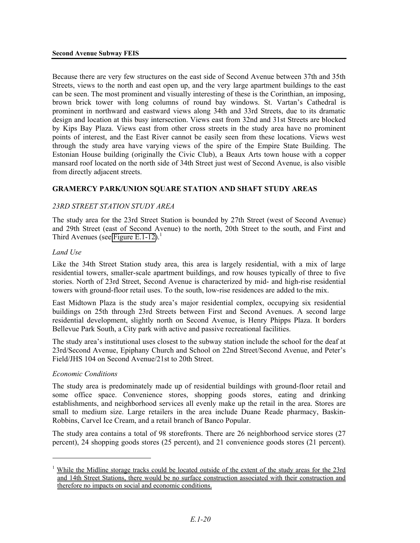Because there are very few structures on the east side of Second Avenue between 37th and 35th Streets, views to the north and east open up, and the very large apartment buildings to the east can be seen. The most prominent and visually interesting of these is the Corinthian, an imposing, brown brick tower with long columns of round bay windows. St. Vartan's Cathedral is prominent in northward and eastward views along 34th and 33rd Streets, due to its dramatic design and location at this busy intersection. Views east from 32nd and 31st Streets are blocked by Kips Bay Plaza. Views east from other cross streets in the study area have no prominent points of interest, and the East River cannot be easily seen from these locations. Views west through the study area have varying views of the spire of the Empire State Building. The Estonian House building (originally the Civic Club), a Beaux Arts town house with a copper mansard roof located on the north side of 34th Street just west of Second Avenue, is also visible from directly adjacent streets.

## **GRAMERCY PARK/UNION SQUARE STATION AND SHAFT STUDY AREAS**

### *23RD STREET STATION STUDY AREA*

The study area for the 23rd Street Station is bounded by 27th Street (west of Second Avenue) and 29th Street (east of Second Avenue) to the north, 20th Street to the south, and First and Third Avenues (see Figure E.1-12).<sup>1</sup>

#### *Land Use*

Like the 34th Street Station study area, this area is largely residential, with a mix of large residential towers, smaller-scale apartment buildings, and row houses typically of three to five stories. North of 23rd Street, Second Avenue is characterized by mid- and high-rise residential towers with ground-floor retail uses. To the south, low-rise residences are added to the mix.

East Midtown Plaza is the study area's major residential complex, occupying six residential buildings on 25th through 23rd Streets between First and Second Avenues. A second large residential development, slightly north on Second Avenue, is Henry Phipps Plaza. It borders Bellevue Park South, a City park with active and passive recreational facilities.

The study area's institutional uses closest to the subway station include the school for the deaf at 23rd/Second Avenue, Epiphany Church and School on 22nd Street/Second Avenue, and Peter's Field/JHS 104 on Second Avenue/21st to 20th Street.

#### *Economic Conditions*

<u>.</u>

The study area is predominately made up of residential buildings with ground-floor retail and some office space. Convenience stores, shopping goods stores, eating and drinking establishments, and neighborhood services all evenly make up the retail in the area. Stores are small to medium size. Large retailers in the area include Duane Reade pharmacy, Baskin-Robbins, Carvel Ice Cream, and a retail branch of Banco Popular.

The study area contains a total of 98 storefronts. There are 26 neighborhood service stores (27 percent), 24 shopping goods stores (25 percent), and 21 convenience goods stores (21 percent).

<sup>1</sup> While the Midline storage tracks could be located outside of the extent of the study areas for the 23rd and 14th Street Stations, there would be no surface construction associated with their construction and therefore no impacts on social and economic conditions.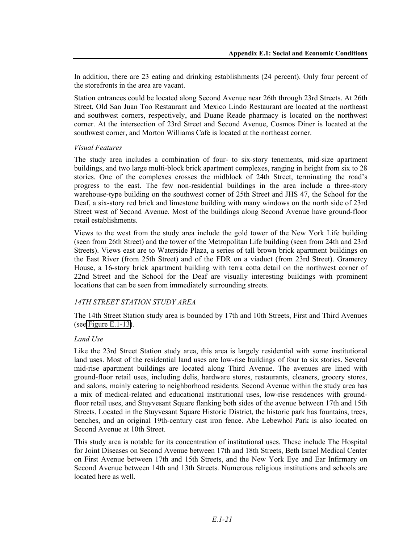In addition, there are 23 eating and drinking establishments (24 percent). Only four percent of the storefronts in the area are vacant.

Station entrances could be located along Second Avenue near 26th through 23rd Streets. At 26th Street, Old San Juan Too Restaurant and Mexico Lindo Restaurant are located at the northeast and southwest corners, respectively, and Duane Reade pharmacy is located on the northwest corner. At the intersection of 23rd Street and Second Avenue, Cosmos Diner is located at the southwest corner, and Morton Williams Cafe is located at the northeast corner.

### *Visual Features*

The study area includes a combination of four- to six-story tenements, mid-size apartment buildings, and two large multi-block brick apartment complexes, ranging in height from six to 28 stories. One of the complexes crosses the midblock of 24th Street, terminating the road's progress to the east. The few non-residential buildings in the area include a three-story warehouse-type building on the southwest corner of 25th Street and JHS 47, the School for the Deaf, a six-story red brick and limestone building with many windows on the north side of 23rd Street west of Second Avenue. Most of the buildings along Second Avenue have ground-floor retail establishments.

Views to the west from the study area include the gold tower of the New York Life building (seen from 26th Street) and the tower of the Metropolitan Life building (seen from 24th and 23rd Streets). Views east are to Waterside Plaza, a series of tall brown brick apartment buildings on the East River (from 25th Street) and of the FDR on a viaduct (from 23rd Street). Gramercy House, a 16-story brick apartment building with terra cotta detail on the northwest corner of 22nd Street and the School for the Deaf are visually interesting buildings with prominent locations that can be seen from immediately surrounding streets.

## *14TH STREET STATION STUDY AREA*

The 14th Street Station study area is bounded by 17th and 10th Streets, First and Third Avenues (see Figure E.1-13).

### *Land Use*

Like the 23rd Street Station study area, this area is largely residential with some institutional land uses. Most of the residential land uses are low-rise buildings of four to six stories. Several mid-rise apartment buildings are located along Third Avenue. The avenues are lined with ground-floor retail uses, including delis, hardware stores, restaurants, cleaners, grocery stores, and salons, mainly catering to neighborhood residents. Second Avenue within the study area has a mix of medical-related and educational institutional uses, low-rise residences with groundfloor retail uses, and Stuyvesant Square flanking both sides of the avenue between 17th and 15th Streets. Located in the Stuyvesant Square Historic District, the historic park has fountains, trees, benches, and an original 19th-century cast iron fence. Abe Lebewhol Park is also located on Second Avenue at 10th Street.

This study area is notable for its concentration of institutional uses. These include The Hospital for Joint Diseases on Second Avenue between 17th and 18th Streets, Beth Israel Medical Center on First Avenue between 17th and 15th Streets, and the New York Eye and Ear Infirmary on Second Avenue between 14th and 13th Streets. Numerous religious institutions and schools are located here as well.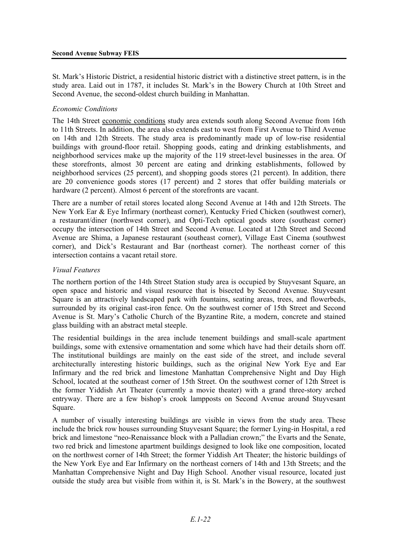St. Mark's Historic District, a residential historic district with a distinctive street pattern, is in the study area. Laid out in 1787, it includes St. Mark's in the Bowery Church at 10th Street and Second Avenue, the second-oldest church building in Manhattan.

#### *Economic Conditions*

The 14th Street economic conditions study area extends south along Second Avenue from 16th to 11th Streets. In addition, the area also extends east to west from First Avenue to Third Avenue on 14th and 12th Streets. The study area is predominantly made up of low-rise residential buildings with ground-floor retail. Shopping goods, eating and drinking establishments, and neighborhood services make up the majority of the 119 street-level businesses in the area. Of these storefronts, almost 30 percent are eating and drinking establishments, followed by neighborhood services (25 percent), and shopping goods stores (21 percent). In addition, there are 20 convenience goods stores (17 percent) and 2 stores that offer building materials or hardware (2 percent). Almost 6 percent of the storefronts are vacant.

There are a number of retail stores located along Second Avenue at 14th and 12th Streets. The New York Ear & Eye Infirmary (northeast corner), Kentucky Fried Chicken (southwest corner), a restaurant/diner (northwest corner), and Opti-Tech optical goods store (southeast corner) occupy the intersection of 14th Street and Second Avenue. Located at 12th Street and Second Avenue are Shima, a Japanese restaurant (southeast corner), Village East Cinema (southwest corner), and Dick's Restaurant and Bar (northeast corner). The northeast corner of this intersection contains a vacant retail store.

### *Visual Features*

The northern portion of the 14th Street Station study area is occupied by Stuyvesant Square, an open space and historic and visual resource that is bisected by Second Avenue. Stuyvesant Square is an attractively landscaped park with fountains, seating areas, trees, and flowerbeds, surrounded by its original cast-iron fence. On the southwest corner of 15th Street and Second Avenue is St. Mary's Catholic Church of the Byzantine Rite, a modern, concrete and stained glass building with an abstract metal steeple.

The residential buildings in the area include tenement buildings and small-scale apartment buildings, some with extensive ornamentation and some which have had their details shorn off. The institutional buildings are mainly on the east side of the street, and include several architecturally interesting historic buildings, such as the original New York Eye and Ear Infirmary and the red brick and limestone Manhattan Comprehensive Night and Day High School, located at the southeast corner of 15th Street. On the southwest corner of 12th Street is the former Yiddish Art Theater (currently a movie theater) with a grand three-story arched entryway. There are a few bishop's crook lampposts on Second Avenue around Stuyvesant Square.

A number of visually interesting buildings are visible in views from the study area. These include the brick row houses surrounding Stuyvesant Square; the former Lying-in Hospital, a red brick and limestone "neo-Renaissance block with a Palladian crown;" the Evarts and the Senate, two red brick and limestone apartment buildings designed to look like one composition, located on the northwest corner of 14th Street; the former Yiddish Art Theater; the historic buildings of the New York Eye and Ear Infirmary on the northeast corners of 14th and 13th Streets; and the Manhattan Comprehensive Night and Day High School. Another visual resource, located just outside the study area but visible from within it, is St. Mark's in the Bowery, at the southwest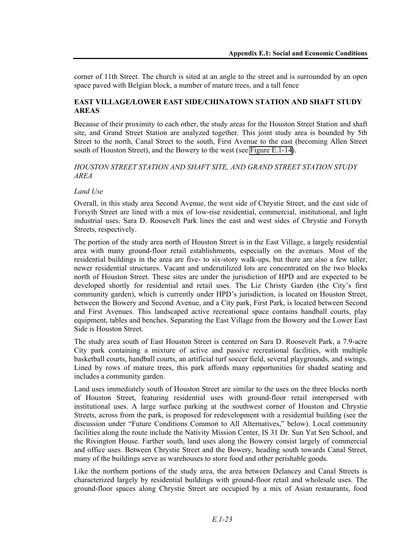corner of 11th Street. The church is sited at an angle to the street and is surrounded by an open space paved with Belgian block, a number of mature trees, and a tall fence

## **EAST VILLAGE/LOWER EAST SIDE/CHINATOWN STATION AND SHAFT STUDY AREAS**

Because of their proximity to each other, the study areas for the Houston Street Station and shaft site, and Grand Street Station are analyzed together. This joint study area is bounded by 5th Street to the north, Canal Street to the south, First Avenue to the east (becoming Allen Street south of Houston Street), and the Bowery to the west (see Figure E.1-14).

#### *HOUSTON STREET STATION AND SHAFT SITE, AND GRAND STREET STATION STUDY AREA*

### *Land Use*

Overall, in this study area Second Avenue, the west side of Chrystie Street, and the east side of Forsyth Street are lined with a mix of low-rise residential, commercial, institutional, and light industrial uses. Sara D. Roosevelt Park lines the east and west sides of Chrystie and Forsyth Streets, respectively.

The portion of the study area north of Houston Street is in the East Village, a largely residential area with many ground-floor retail establishments, especially on the avenues. Most of the residential buildings in the area are five- to six-story walk-ups, but there are also a few taller, newer residential structures. Vacant and underutilized lots are concentrated on the two blocks north of Houston Street. These sites are under the jurisdiction of HPD and are expected to be developed shortly for residential and retail uses. The Liz Christy Garden (the City's first community garden), which is currently under HPD's jurisdiction, is located on Houston Street, between the Bowery and Second Avenue, and a City park, First Park, is located between Second and First Avenues. This landscaped active recreational space contains handball courts, play equipment, tables and benches. Separating the East Village from the Bowery and the Lower East Side is Houston Street.

The study area south of East Houston Street is centered on Sara D. Roosevelt Park, a 7.9-acre City park containing a mixture of active and passive recreational facilities, with multiple basketball courts, handball courts, an artificial turf soccer field, several playgrounds, and swings. Lined by rows of mature trees, this park affords many opportunities for shaded seating and includes a community garden.

Land uses immediately south of Houston Street are similar to the uses on the three blocks north of Houston Street, featuring residential uses with ground-floor retail interspersed with institutional uses. A large surface parking at the southwest corner of Houston and Chrystie Streets, across from the park, is proposed for redevelopment with a residential building (see the discussion under "Future Conditions Common to All Alternatives," below). Local community facilities along the route include the Nativity Mission Center, IS 31 Dr. Sun Yat Sen School, and the Rivington House. Farther south, land uses along the Bowery consist largely of commercial and office uses. Between Chrystie Street and the Bowery, heading south towards Canal Street, many of the buildings serve as warehouses to store food and other perishable goods.

Like the northern portions of the study area, the area between Delancey and Canal Streets is characterized largely by residential buildings with ground-floor retail and wholesale uses. The ground-floor spaces along Chrystie Street are occupied by a mix of Asian restaurants, food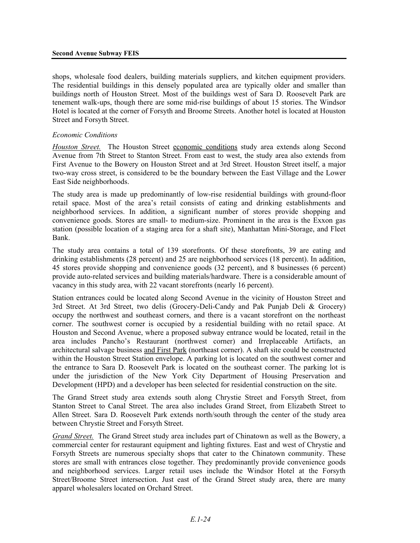shops, wholesale food dealers, building materials suppliers, and kitchen equipment providers. The residential buildings in this densely populated area are typically older and smaller than buildings north of Houston Street. Most of the buildings west of Sara D. Roosevelt Park are tenement walk-ups, though there are some mid-rise buildings of about 15 stories. The Windsor Hotel is located at the corner of Forsyth and Broome Streets. Another hotel is located at Houston Street and Forsyth Street.

#### *Economic Conditions*

*Houston Street.* The Houston Street economic conditions study area extends along Second Avenue from 7th Street to Stanton Street. From east to west, the study area also extends from First Avenue to the Bowery on Houston Street and at 3rd Street. Houston Street itself, a major two-way cross street, is considered to be the boundary between the East Village and the Lower East Side neighborhoods.

The study area is made up predominantly of low-rise residential buildings with ground-floor retail space. Most of the area's retail consists of eating and drinking establishments and neighborhood services. In addition, a significant number of stores provide shopping and convenience goods. Stores are small- to medium-size. Prominent in the area is the Exxon gas station (possible location of a staging area for a shaft site), Manhattan Mini-Storage, and Fleet Bank.

The study area contains a total of 139 storefronts. Of these storefronts, 39 are eating and drinking establishments (28 percent) and 25 are neighborhood services (18 percent). In addition, 45 stores provide shopping and convenience goods (32 percent), and 8 businesses (6 percent) provide auto-related services and building materials/hardware. There is a considerable amount of vacancy in this study area, with 22 vacant storefronts (nearly 16 percent).

Station entrances could be located along Second Avenue in the vicinity of Houston Street and 3rd Street. At 3rd Street, two delis (Grocery-Deli-Candy and Pak Punjab Deli & Grocery) occupy the northwest and southeast corners, and there is a vacant storefront on the northeast corner. The southwest corner is occupied by a residential building with no retail space. At Houston and Second Avenue, where a proposed subway entrance would be located, retail in the area includes Pancho's Restaurant (northwest corner) and Irreplaceable Artifacts, an architectural salvage business and First Park (northeast corner). A shaft site could be constructed within the Houston Street Station envelope. A parking lot is located on the southwest corner and the entrance to Sara D. Roosevelt Park is located on the southeast corner. The parking lot is under the jurisdiction of the New York City Department of Housing Preservation and Development (HPD) and a developer has been selected for residential construction on the site.

The Grand Street study area extends south along Chrystie Street and Forsyth Street, from Stanton Street to Canal Street. The area also includes Grand Street, from Elizabeth Street to Allen Street. Sara D. Roosevelt Park extends north/south through the center of the study area between Chrystie Street and Forsyth Street.

*Grand Street.* The Grand Street study area includes part of Chinatown as well as the Bowery, a commercial center for restaurant equipment and lighting fixtures. East and west of Chrystie and Forsyth Streets are numerous specialty shops that cater to the Chinatown community. These stores are small with entrances close together. They predominantly provide convenience goods and neighborhood services. Larger retail uses include the Windsor Hotel at the Forsyth Street/Broome Street intersection. Just east of the Grand Street study area, there are many apparel wholesalers located on Orchard Street.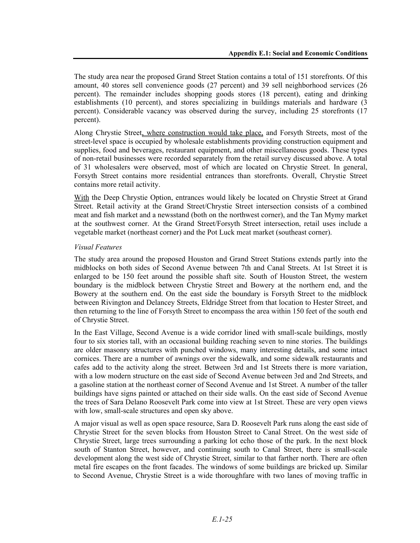The study area near the proposed Grand Street Station contains a total of 151 storefronts. Of this amount, 40 stores sell convenience goods (27 percent) and 39 sell neighborhood services (26 percent). The remainder includes shopping goods stores (18 percent), eating and drinking establishments (10 percent), and stores specializing in buildings materials and hardware (3 percent). Considerable vacancy was observed during the survey, including 25 storefronts (17 percent).

Along Chrystie Street, where construction would take place, and Forsyth Streets, most of the street-level space is occupied by wholesale establishments providing construction equipment and supplies, food and beverages, restaurant equipment, and other miscellaneous goods. These types of non-retail businesses were recorded separately from the retail survey discussed above. A total of 31 wholesalers were observed, most of which are located on Chrystie Street. In general, Forsyth Street contains more residential entrances than storefronts. Overall, Chrystie Street contains more retail activity.

With the Deep Chrystie Option, entrances would likely be located on Chrystie Street at Grand Street. Retail activity at the Grand Street/Chrystie Street intersection consists of a combined meat and fish market and a newsstand (both on the northwest corner), and the Tan Mymy market at the southwest corner. At the Grand Street/Forsyth Street intersection, retail uses include a vegetable market (northeast corner) and the Pot Luck meat market (southeast corner).

## *Visual Features*

The study area around the proposed Houston and Grand Street Stations extends partly into the midblocks on both sides of Second Avenue between 7th and Canal Streets. At 1st Street it is enlarged to be 150 feet around the possible shaft site. South of Houston Street, the western boundary is the midblock between Chrystie Street and Bowery at the northern end, and the Bowery at the southern end. On the east side the boundary is Forsyth Street to the midblock between Rivington and Delancey Streets, Eldridge Street from that location to Hester Street, and then returning to the line of Forsyth Street to encompass the area within 150 feet of the south end of Chrystie Street.

In the East Village, Second Avenue is a wide corridor lined with small-scale buildings, mostly four to six stories tall, with an occasional building reaching seven to nine stories. The buildings are older masonry structures with punched windows, many interesting details, and some intact cornices. There are a number of awnings over the sidewalk, and some sidewalk restaurants and cafes add to the activity along the street. Between 3rd and 1st Streets there is more variation, with a low modern structure on the east side of Second Avenue between 3rd and 2nd Streets, and a gasoline station at the northeast corner of Second Avenue and 1st Street. A number of the taller buildings have signs painted or attached on their side walls. On the east side of Second Avenue the trees of Sara Delano Roosevelt Park come into view at 1st Street. These are very open views with low, small-scale structures and open sky above.

A major visual as well as open space resource, Sara D. Roosevelt Park runs along the east side of Chrystie Street for the seven blocks from Houston Street to Canal Street. On the west side of Chrystie Street, large trees surrounding a parking lot echo those of the park. In the next block south of Stanton Street, however, and continuing south to Canal Street, there is small-scale development along the west side of Chrystie Street, similar to that farther north. There are often metal fire escapes on the front facades. The windows of some buildings are bricked up. Similar to Second Avenue, Chrystie Street is a wide thoroughfare with two lanes of moving traffic in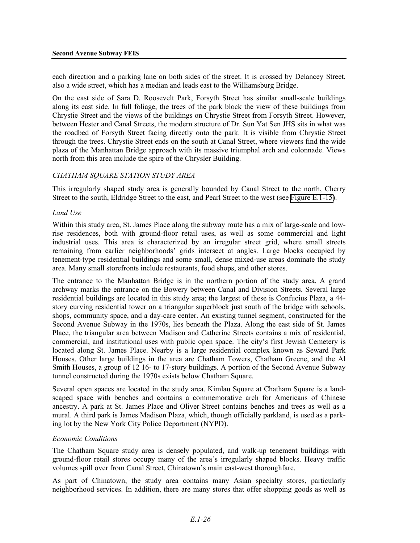each direction and a parking lane on both sides of the street. It is crossed by Delancey Street, also a wide street, which has a median and leads east to the Williamsburg Bridge.

On the east side of Sara D. Roosevelt Park, Forsyth Street has similar small-scale buildings along its east side. In full foliage, the trees of the park block the view of these buildings from Chrystie Street and the views of the buildings on Chrystie Street from Forsyth Street. However, between Hester and Canal Streets, the modern structure of Dr. Sun Yat Sen JHS sits in what was the roadbed of Forsyth Street facing directly onto the park. It is visible from Chrystie Street through the trees. Chrystie Street ends on the south at Canal Street, where viewers find the wide plaza of the Manhattan Bridge approach with its massive triumphal arch and colonnade. Views north from this area include the spire of the Chrysler Building.

## *CHATHAM SQUARE STATION STUDY AREA*

This irregularly shaped study area is generally bounded by Canal Street to the north, Cherry Street to the south, Eldridge Street to the east, and Pearl Street to the west (see Figure E.1-15).

### *Land Use*

Within this study area, St. James Place along the subway route has a mix of large-scale and lowrise residences, both with ground-floor retail uses, as well as some commercial and light industrial uses. This area is characterized by an irregular street grid, where small streets remaining from earlier neighborhoods' grids intersect at angles. Large blocks occupied by tenement-type residential buildings and some small, dense mixed-use areas dominate the study area. Many small storefronts include restaurants, food shops, and other stores.

The entrance to the Manhattan Bridge is in the northern portion of the study area. A grand archway marks the entrance on the Bowery between Canal and Division Streets. Several large residential buildings are located in this study area; the largest of these is Confucius Plaza, a 44 story curving residential tower on a triangular superblock just south of the bridge with schools, shops, community space, and a day-care center. An existing tunnel segment, constructed for the Second Avenue Subway in the 1970s, lies beneath the Plaza. Along the east side of St. James Place, the triangular area between Madison and Catherine Streets contains a mix of residential, commercial, and institutional uses with public open space. The city's first Jewish Cemetery is located along St. James Place. Nearby is a large residential complex known as Seward Park Houses. Other large buildings in the area are Chatham Towers, Chatham Greene, and the Al Smith Houses, a group of 12 16- to 17-story buildings. A portion of the Second Avenue Subway tunnel constructed during the 1970s exists below Chatham Square.

Several open spaces are located in the study area. Kimlau Square at Chatham Square is a landscaped space with benches and contains a commemorative arch for Americans of Chinese ancestry. A park at St. James Place and Oliver Street contains benches and trees as well as a mural. A third park is James Madison Plaza, which, though officially parkland, is used as a parking lot by the New York City Police Department (NYPD).

#### *Economic Conditions*

The Chatham Square study area is densely populated, and walk-up tenement buildings with ground-floor retail stores occupy many of the area's irregularly shaped blocks. Heavy traffic volumes spill over from Canal Street, Chinatown's main east-west thoroughfare.

As part of Chinatown, the study area contains many Asian specialty stores, particularly neighborhood services. In addition, there are many stores that offer shopping goods as well as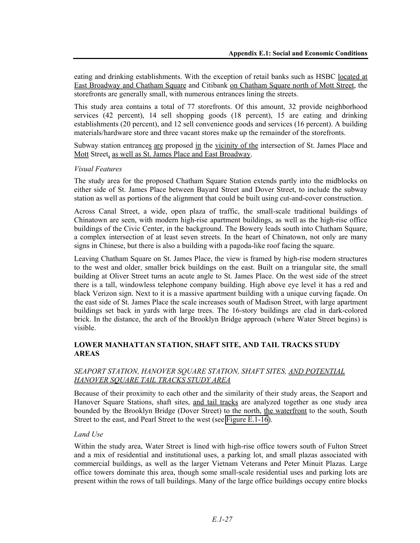eating and drinking establishments. With the exception of retail banks such as HSBC located at East Broadway and Chatham Square and Citibank on Chatham Square north of Mott Street, the storefronts are generally small, with numerous entrances lining the streets.

This study area contains a total of 77 storefronts. Of this amount, 32 provide neighborhood services (42 percent), 14 sell shopping goods (18 percent), 15 are eating and drinking establishments (20 percent), and 12 sell convenience goods and services (16 percent). A building materials/hardware store and three vacant stores make up the remainder of the storefronts.

Subway station entrances are proposed in the vicinity of the intersection of St. James Place and Mott Street, as well as St. James Place and East Broadway.

### *Visual Features*

The study area for the proposed Chatham Square Station extends partly into the midblocks on either side of St. James Place between Bayard Street and Dover Street, to include the subway station as well as portions of the alignment that could be built using cut-and-cover construction.

Across Canal Street, a wide, open plaza of traffic, the small-scale traditional buildings of Chinatown are seen, with modern high-rise apartment buildings, as well as the high-rise office buildings of the Civic Center, in the background. The Bowery leads south into Chatham Square, a complex intersection of at least seven streets. In the heart of Chinatown, not only are many signs in Chinese, but there is also a building with a pagoda-like roof facing the square.

Leaving Chatham Square on St. James Place, the view is framed by high-rise modern structures to the west and older, smaller brick buildings on the east. Built on a triangular site, the small building at Oliver Street turns an acute angle to St. James Place. On the west side of the street there is a tall, windowless telephone company building. High above eye level it has a red and black Verizon sign. Next to it is a massive apartment building with a unique curving façade. On the east side of St. James Place the scale increases south of Madison Street, with large apartment buildings set back in yards with large trees. The 16-story buildings are clad in dark-colored brick. In the distance, the arch of the Brooklyn Bridge approach (where Water Street begins) is visible.

## **LOWER MANHATTAN STATION, SHAFT SITE, AND TAIL TRACKS STUDY AREAS**

### *SEAPORT STATION, HANOVER SQUARE STATION, SHAFT SITES, AND POTENTIAL HANOVER SQUARE TAIL TRACKS STUDY AREA*

Because of their proximity to each other and the similarity of their study areas, the Seaport and Hanover Square Stations, shaft sites, and tail tracks are analyzed together as one study area bounded by the Brooklyn Bridge (Dover Street) to the north, the waterfront to the south, South Street to the east, and Pearl Street to the west (see Figure E.1-16).

### *Land Use*

Within the study area, Water Street is lined with high-rise office towers south of Fulton Street and a mix of residential and institutional uses, a parking lot, and small plazas associated with commercial buildings, as well as the larger Vietnam Veterans and Peter Minuit Plazas. Large office towers dominate this area, though some small-scale residential uses and parking lots are present within the rows of tall buildings. Many of the large office buildings occupy entire blocks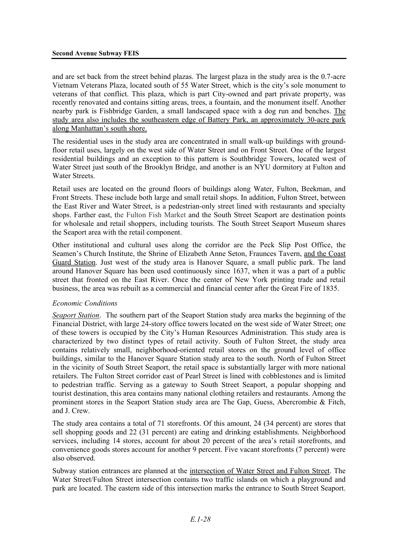and are set back from the street behind plazas. The largest plaza in the study area is the 0.7-acre Vietnam Veterans Plaza, located south of 55 Water Street, which is the city's sole monument to veterans of that conflict. This plaza, which is part City-owned and part private property, was recently renovated and contains sitting areas, trees, a fountain, and the monument itself. Another nearby park is Fishbridge Garden, a small landscaped space with a dog run and benches. The study area also includes the southeastern edge of Battery Park, an approximately 30-acre park along Manhattan's south shore.

The residential uses in the study area are concentrated in small walk-up buildings with groundfloor retail uses, largely on the west side of Water Street and on Front Street. One of the largest residential buildings and an exception to this pattern is Southbridge Towers, located west of Water Street just south of the Brooklyn Bridge, and another is an NYU dormitory at Fulton and Water Streets.

Retail uses are located on the ground floors of buildings along Water, Fulton, Beekman, and Front Streets. These include both large and small retail shops. In addition, Fulton Street, between the East River and Water Street, is a pedestrian-only street lined with restaurants and specialty shops. Farther east, the Fulton Fish Market and the South Street Seaport are destination points for wholesale and retail shoppers, including tourists. The South Street Seaport Museum shares the Seaport area with the retail component.

Other institutional and cultural uses along the corridor are the Peck Slip Post Office, the Seamen's Church Institute, the Shrine of Elizabeth Anne Seton, Fraunces Tavern, and the Coast Guard Station. Just west of the study area is Hanover Square, a small public park. The land around Hanover Square has been used continuously since 1637, when it was a part of a public street that fronted on the East River. Once the center of New York printing trade and retail business, the area was rebuilt as a commercial and financial center after the Great Fire of 1835.

### *Economic Conditions*

*Seaport Station*. The southern part of the Seaport Station study area marks the beginning of the Financial District, with large 24-story office towers located on the west side of Water Street; one of these towers is occupied by the City's Human Resources Administration. This study area is characterized by two distinct types of retail activity. South of Fulton Street, the study area contains relatively small, neighborhood-oriented retail stores on the ground level of office buildings, similar to the Hanover Square Station study area to the south. North of Fulton Street in the vicinity of South Street Seaport, the retail space is substantially larger with more national retailers. The Fulton Street corridor east of Pearl Street is lined with cobblestones and is limited to pedestrian traffic. Serving as a gateway to South Street Seaport, a popular shopping and tourist destination, this area contains many national clothing retailers and restaurants. Among the prominent stores in the Seaport Station study area are The Gap, Guess, Abercrombie & Fitch, and J. Crew.

The study area contains a total of 71 storefronts. Of this amount, 24 (34 percent) are stores that sell shopping goods and 22 (31 percent) are eating and drinking establishments. Neighborhood services, including 14 stores, account for about 20 percent of the area's retail storefronts, and convenience goods stores account for another 9 percent. Five vacant storefronts (7 percent) were also observed.

Subway station entrances are planned at the intersection of Water Street and Fulton Street. The Water Street/Fulton Street intersection contains two traffic islands on which a playground and park are located. The eastern side of this intersection marks the entrance to South Street Seaport.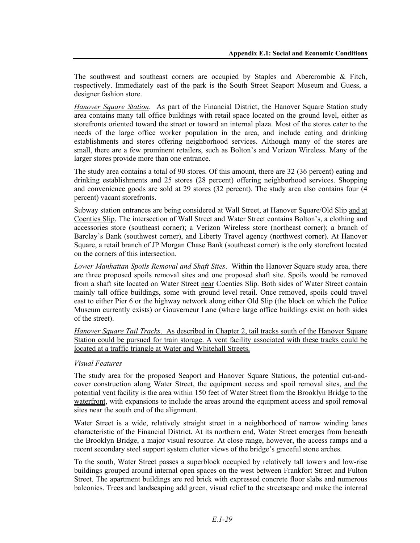The southwest and southeast corners are occupied by Staples and Abercrombie & Fitch, respectively. Immediately east of the park is the South Street Seaport Museum and Guess, a designer fashion store.

*Hanover Square Station*. As part of the Financial District, the Hanover Square Station study area contains many tall office buildings with retail space located on the ground level, either as storefronts oriented toward the street or toward an internal plaza. Most of the stores cater to the needs of the large office worker population in the area, and include eating and drinking establishments and stores offering neighborhood services. Although many of the stores are small, there are a few prominent retailers, such as Bolton's and Verizon Wireless. Many of the larger stores provide more than one entrance.

The study area contains a total of 90 stores. Of this amount, there are 32 (36 percent) eating and drinking establishments and 25 stores (28 percent) offering neighborhood services. Shopping and convenience goods are sold at 29 stores (32 percent). The study area also contains four (4 percent) vacant storefronts.

Subway station entrances are being considered at Wall Street, at Hanover Square/Old Slip and at Coenties Slip. The intersection of Wall Street and Water Street contains Bolton's, a clothing and accessories store (southeast corner); a Verizon Wireless store (northeast corner); a branch of Barclay's Bank (southwest corner), and Liberty Travel agency (northwest corner). At Hanover Square, a retail branch of JP Morgan Chase Bank (southeast corner) is the only storefront located on the corners of this intersection.

*Lower Manhattan Spoils Removal and Shaft Sites*. Within the Hanover Square study area, there are three proposed spoils removal sites and one proposed shaft site. Spoils would be removed from a shaft site located on Water Street near Coenties Slip. Both sides of Water Street contain mainly tall office buildings, some with ground level retail. Once removed, spoils could travel east to either Pier 6 or the highway network along either Old Slip (the block on which the Police Museum currently exists) or Gouverneur Lane (where large office buildings exist on both sides of the street).

*Hanover Square Tail Tracks*. As described in Chapter 2, tail tracks south of the Hanover Square Station could be pursued for train storage. A vent facility associated with these tracks could be located at a traffic triangle at Water and Whitehall Streets.

### *Visual Features*

The study area for the proposed Seaport and Hanover Square Stations, the potential cut-andcover construction along Water Street, the equipment access and spoil removal sites, and the potential vent facility is the area within 150 feet of Water Street from the Brooklyn Bridge to the waterfront, with expansions to include the areas around the equipment access and spoil removal sites near the south end of the alignment.

Water Street is a wide, relatively straight street in a neighborhood of narrow winding lanes characteristic of the Financial District. At its northern end, Water Street emerges from beneath the Brooklyn Bridge, a major visual resource. At close range, however, the access ramps and a recent secondary steel support system clutter views of the bridge's graceful stone arches.

To the south, Water Street passes a superblock occupied by relatively tall towers and low-rise buildings grouped around internal open spaces on the west between Frankfort Street and Fulton Street. The apartment buildings are red brick with expressed concrete floor slabs and numerous balconies. Trees and landscaping add green, visual relief to the streetscape and make the internal